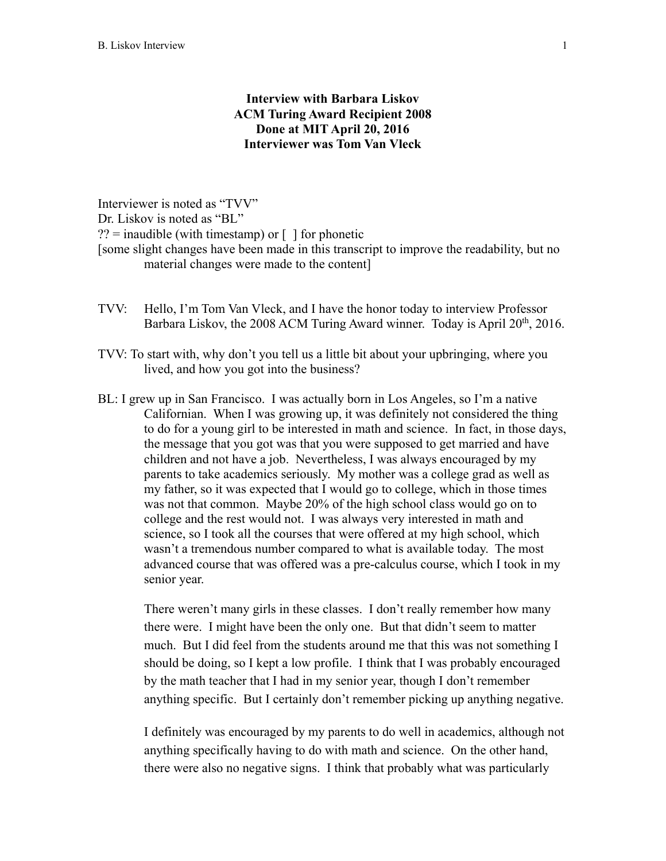# **Interview with Barbara Liskov ACM Turing Award Recipient 2008 Done at MIT April 20, 2016 Interviewer was Tom Van Vleck**

Interviewer is noted as "TVV" Dr. Liskov is noted as "BL"  $??$  = inaudible (with timestamp) or  $\lceil \cdot \rceil$  for phonetic [some slight changes have been made in this transcript to improve the readability, but no material changes were made to the content]

- TVV: Hello, I'm Tom Van Vleck, and I have the honor today to interview Professor Barbara Liskov, the 2008 ACM Turing Award winner. Today is April  $20^{th}$ , 2016.
- TVV: To start with, why don't you tell us a little bit about your upbringing, where you lived, and how you got into the business?
- BL: I grew up in San Francisco. I was actually born in Los Angeles, so I'm a native Californian. When I was growing up, it was definitely not considered the thing to do for a young girl to be interested in math and science. In fact, in those days, the message that you got was that you were supposed to get married and have children and not have a job. Nevertheless, I was always encouraged by my parents to take academics seriously. My mother was a college grad as well as my father, so it was expected that I would go to college, which in those times was not that common. Maybe 20% of the high school class would go on to college and the rest would not. I was always very interested in math and science, so I took all the courses that were offered at my high school, which wasn't a tremendous number compared to what is available today. The most advanced course that was offered was a pre-calculus course, which I took in my senior year.

There weren't many girls in these classes. I don't really remember how many there were. I might have been the only one. But that didn't seem to matter much. But I did feel from the students around me that this was not something I should be doing, so I kept a low profile. I think that I was probably encouraged by the math teacher that I had in my senior year, though I don't remember anything specific. But I certainly don't remember picking up anything negative.

I definitely was encouraged by my parents to do well in academics, although not anything specifically having to do with math and science. On the other hand, there were also no negative signs. I think that probably what was particularly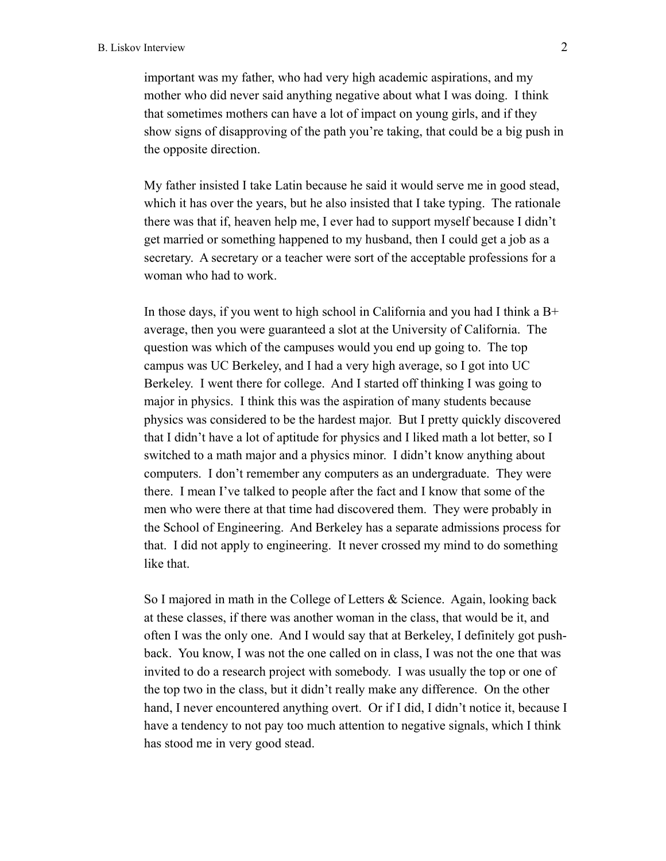important was my father, who had very high academic aspirations, and my mother who did never said anything negative about what I was doing. I think that sometimes mothers can have a lot of impact on young girls, and if they show signs of disapproving of the path you're taking, that could be a big push in the opposite direction.

My father insisted I take Latin because he said it would serve me in good stead, which it has over the years, but he also insisted that I take typing. The rationale there was that if, heaven help me, I ever had to support myself because I didn't get married or something happened to my husband, then I could get a job as a secretary. A secretary or a teacher were sort of the acceptable professions for a woman who had to work.

In those days, if you went to high school in California and you had I think a B+ average, then you were guaranteed a slot at the University of California. The question was which of the campuses would you end up going to. The top campus was UC Berkeley, and I had a very high average, so I got into UC Berkeley. I went there for college. And I started off thinking I was going to major in physics. I think this was the aspiration of many students because physics was considered to be the hardest major. But I pretty quickly discovered that I didn't have a lot of aptitude for physics and I liked math a lot better, so I switched to a math major and a physics minor. I didn't know anything about computers. I don't remember any computers as an undergraduate. They were there. I mean I've talked to people after the fact and I know that some of the men who were there at that time had discovered them. They were probably in the School of Engineering. And Berkeley has a separate admissions process for that. I did not apply to engineering. It never crossed my mind to do something like that.

So I majored in math in the College of Letters & Science. Again, looking back at these classes, if there was another woman in the class, that would be it, and often I was the only one. And I would say that at Berkeley, I definitely got pushback. You know, I was not the one called on in class, I was not the one that was invited to do a research project with somebody. I was usually the top or one of the top two in the class, but it didn't really make any difference. On the other hand, I never encountered anything overt. Or if I did, I didn't notice it, because I have a tendency to not pay too much attention to negative signals, which I think has stood me in very good stead.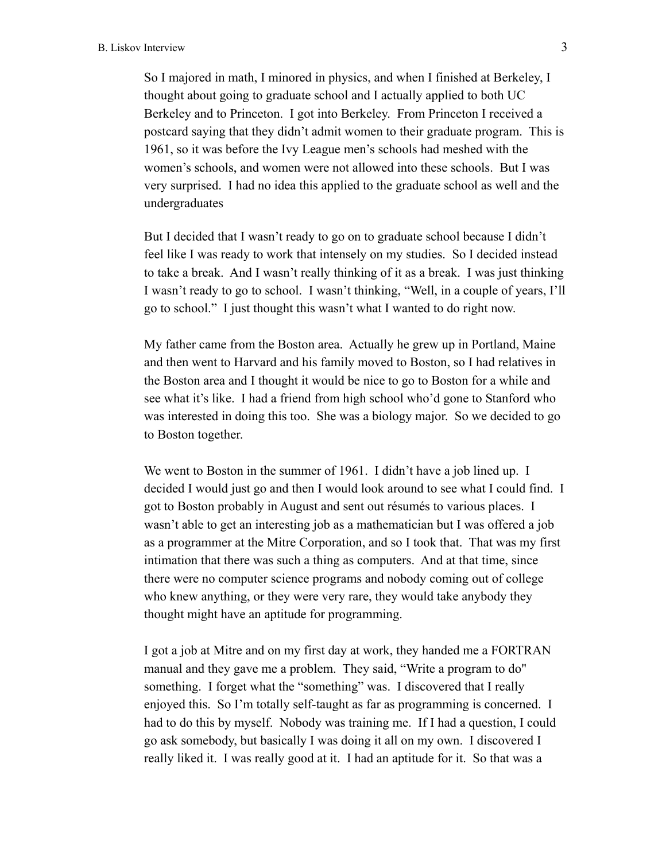So I majored in math, I minored in physics, and when I finished at Berkeley, I thought about going to graduate school and I actually applied to both UC Berkeley and to Princeton. I got into Berkeley. From Princeton I received a postcard saying that they didn't admit women to their graduate program. This is 1961, so it was before the Ivy League men's schools had meshed with the women's schools, and women were not allowed into these schools. But I was very surprised. I had no idea this applied to the graduate school as well and the undergraduates

But I decided that I wasn't ready to go on to graduate school because I didn't feel like I was ready to work that intensely on my studies. So I decided instead to take a break. And I wasn't really thinking of it as a break. I was just thinking I wasn't ready to go to school. I wasn't thinking, "Well, in a couple of years, I'll go to school." I just thought this wasn't what I wanted to do right now.

My father came from the Boston area. Actually he grew up in Portland, Maine and then went to Harvard and his family moved to Boston, so I had relatives in the Boston area and I thought it would be nice to go to Boston for a while and see what it's like. I had a friend from high school who'd gone to Stanford who was interested in doing this too. She was a biology major. So we decided to go to Boston together.

We went to Boston in the summer of 1961. I didn't have a job lined up. I decided I would just go and then I would look around to see what I could find. I got to Boston probably in August and sent out résumés to various places. I wasn't able to get an interesting job as a mathematician but I was offered a job as a programmer at the Mitre Corporation, and so I took that. That was my first intimation that there was such a thing as computers. And at that time, since there were no computer science programs and nobody coming out of college who knew anything, or they were very rare, they would take anybody they thought might have an aptitude for programming.

I got a job at Mitre and on my first day at work, they handed me a FORTRAN manual and they gave me a problem. They said, "Write a program to do" something. I forget what the "something" was. I discovered that I really enjoyed this. So I'm totally self-taught as far as programming is concerned. I had to do this by myself. Nobody was training me. If I had a question, I could go ask somebody, but basically I was doing it all on my own. I discovered I really liked it. I was really good at it. I had an aptitude for it. So that was a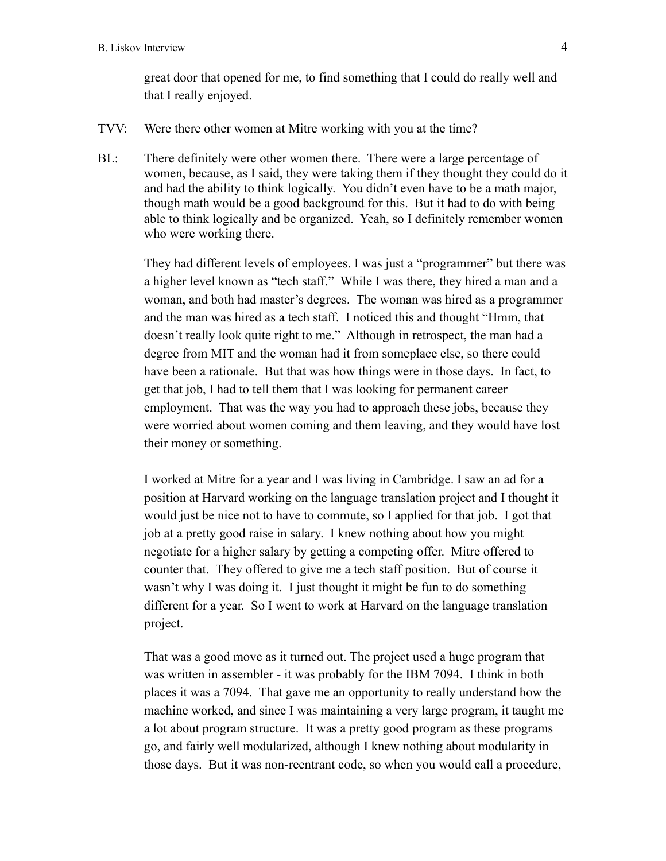great door that opened for me, to find something that I could do really well and that I really enjoyed.

- TVV: Were there other women at Mitre working with you at the time?
- BL: There definitely were other women there. There were a large percentage of women, because, as I said, they were taking them if they thought they could do it and had the ability to think logically. You didn't even have to be a math major, though math would be a good background for this. But it had to do with being able to think logically and be organized. Yeah, so I definitely remember women who were working there.

They had different levels of employees. I was just a "programmer" but there was a higher level known as "tech staff." While I was there, they hired a man and a woman, and both had master's degrees. The woman was hired as a programmer and the man was hired as a tech staff. I noticed this and thought "Hmm, that doesn't really look quite right to me." Although in retrospect, the man had a degree from MIT and the woman had it from someplace else, so there could have been a rationale. But that was how things were in those days. In fact, to get that job, I had to tell them that I was looking for permanent career employment. That was the way you had to approach these jobs, because they were worried about women coming and them leaving, and they would have lost their money or something.

I worked at Mitre for a year and I was living in Cambridge. I saw an ad for a position at Harvard working on the language translation project and I thought it would just be nice not to have to commute, so I applied for that job. I got that job at a pretty good raise in salary. I knew nothing about how you might negotiate for a higher salary by getting a competing offer. Mitre offered to counter that. They offered to give me a tech staff position. But of course it wasn't why I was doing it. I just thought it might be fun to do something different for a year. So I went to work at Harvard on the language translation project.

That was a good move as it turned out. The project used a huge program that was written in assembler - it was probably for the IBM 7094. I think in both places it was a 7094. That gave me an opportunity to really understand how the machine worked, and since I was maintaining a very large program, it taught me a lot about program structure. It was a pretty good program as these programs go, and fairly well modularized, although I knew nothing about modularity in those days. But it was non-reentrant code, so when you would call a procedure,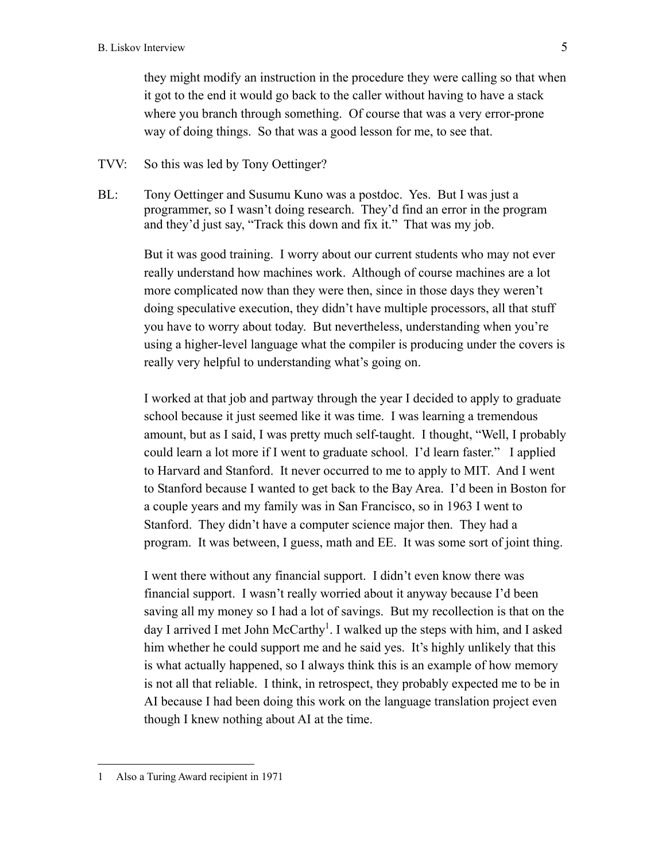they might modify an instruction in the procedure they were calling so that when it got to the end it would go back to the caller without having to have a stack where you branch through something. Of course that was a very error-prone way of doing things. So that was a good lesson for me, to see that.

TVV: So this was led by Tony Oettinger?

BL: Tony Oettinger and Susumu Kuno was a postdoc. Yes. But I was just a programmer, so I wasn't doing research. They'd find an error in the program and they'd just say, "Track this down and fix it." That was my job.

> But it was good training. I worry about our current students who may not ever really understand how machines work. Although of course machines are a lot more complicated now than they were then, since in those days they weren't doing speculative execution, they didn't have multiple processors, all that stuff you have to worry about today. But nevertheless, understanding when you're using a higher-level language what the compiler is producing under the covers is really very helpful to understanding what's going on.

> I worked at that job and partway through the year I decided to apply to graduate school because it just seemed like it was time. I was learning a tremendous amount, but as I said, I was pretty much self-taught. I thought, "Well, I probably could learn a lot more if I went to graduate school. I'd learn faster." I applied to Harvard and Stanford. It never occurred to me to apply to MIT. And I went to Stanford because I wanted to get back to the Bay Area. I'd been in Boston for a couple years and my family was in San Francisco, so in 1963 I went to Stanford. They didn't have a computer science major then. They had a program. It was between, I guess, math and EE. It was some sort of joint thing.

> I went there without any financial support. I didn't even know there was financial support. I wasn't really worried about it anyway because I'd been saving all my money so I had a lot of savings. But my recollection is that on the day I arrived I met John McCarthy<sup>1</sup>. I walked up the steps with him, and I asked him whether he could support me and he said yes. It's highly unlikely that this is what actually happened, so I always think this is an example of how memory is not all that reliable. I think, in retrospect, they probably expected me to be in AI because I had been doing this work on the language translation project even though I knew nothing about AI at the time.

<sup>1</sup> Also a Turing Award recipient in 1971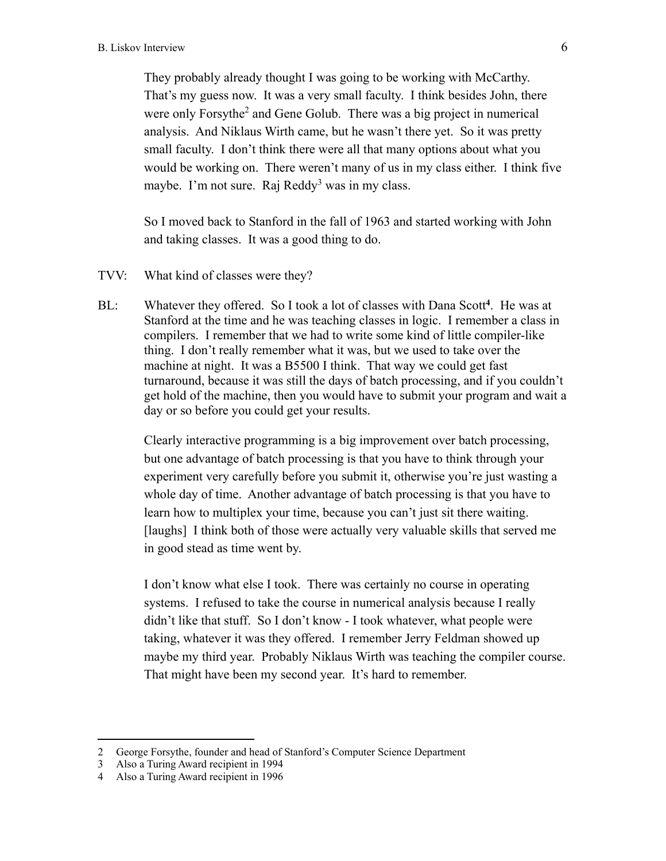They probably already thought I was going to be working with McCarthy. That's my guess now. It was a very small faculty. I think besides John, there were only Forsythe<sup>2</sup> and Gene Golub. There was a big project in numerical analysis. And Niklaus Wirth came, but he wasn't there yet. So it was pretty small faculty. I don't think there were all that many options about what you would be working on. There weren't many of us in my class either. I think five maybe. I'm not sure. Raj Reddy<sup>3</sup> was in my class.

So I moved back to Stanford in the fall of 1963 and started working with John and taking classes. It was a good thing to do.

- TVV: What kind of classes were they?
- BL: Whatever they offered. So I took a lot of classes with Dana Scott**<sup>4</sup>**. He was at Stanford at the time and he was teaching classes in logic. I remember a class in compilers. I remember that we had to write some kind of little compiler-like thing. I don't really remember what it was, but we used to take over the machine at night. It was a B5500 I think. That way we could get fast turnaround, because it was still the days of batch processing, and if you couldn't get hold of the machine, then you would have to submit your program and wait a day or so before you could get your results.

Clearly interactive programming is a big improvement over batch processing, but one advantage of batch processing is that you have to think through your experiment very carefully before you submit it, otherwise you're just wasting a whole day of time. Another advantage of batch processing is that you have to learn how to multiplex your time, because you can't just sit there waiting. [laughs] I think both of those were actually very valuable skills that served me in good stead as time went by.

I don't know what else I took. There was certainly no course in operating systems. I refused to take the course in numerical analysis because I really didn't like that stuff. So I don't know - I took whatever, what people were taking, whatever it was they offered. I remember Jerry Feldman showed up maybe my third year. Probably Niklaus Wirth was teaching the compiler course. That might have been my second year. It's hard to remember.

<sup>2</sup> George Forsythe, founder and head of Stanford's Computer Science Department

<sup>3</sup> Also a Turing Award recipient in 1994

<sup>4</sup> Also a Turing Award recipient in 1996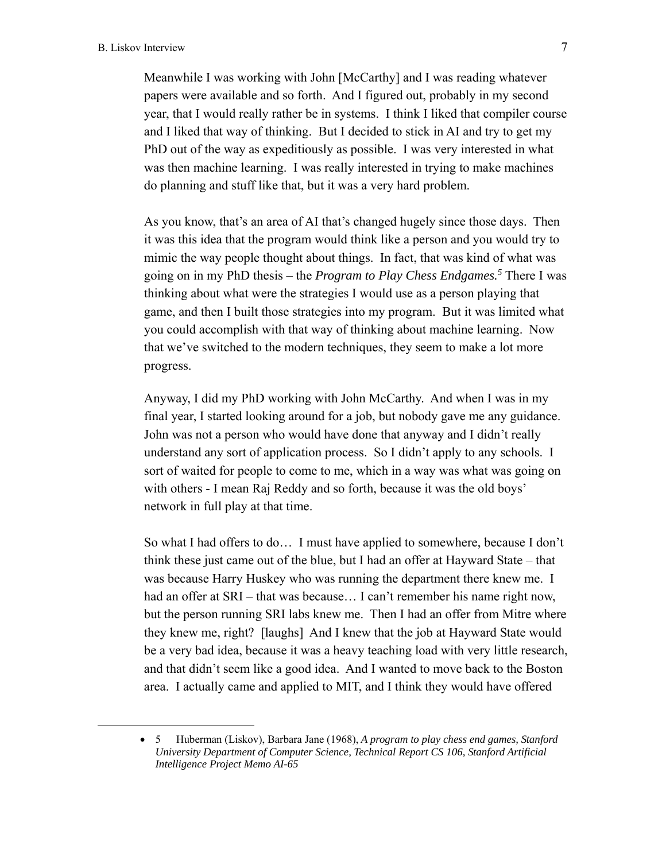Meanwhile I was working with John [McCarthy] and I was reading whatever papers were available and so forth. And I figured out, probably in my second year, that I would really rather be in systems. I think I liked that compiler course and I liked that way of thinking. But I decided to stick in AI and try to get my PhD out of the way as expeditiously as possible. I was very interested in what was then machine learning. I was really interested in trying to make machines do planning and stuff like that, but it was a very hard problem.

As you know, that's an area of AI that's changed hugely since those days. Then it was this idea that the program would think like a person and you would try to mimic the way people thought about things. In fact, that was kind of what was going on in my PhD thesis – the *Program to Play Chess Endgames.5* There I was thinking about what were the strategies I would use as a person playing that game, and then I built those strategies into my program. But it was limited what you could accomplish with that way of thinking about machine learning. Now that we've switched to the modern techniques, they seem to make a lot more progress.

Anyway, I did my PhD working with John McCarthy. And when I was in my final year, I started looking around for a job, but nobody gave me any guidance. John was not a person who would have done that anyway and I didn't really understand any sort of application process. So I didn't apply to any schools. I sort of waited for people to come to me, which in a way was what was going on with others - I mean Raj Reddy and so forth, because it was the old boys' network in full play at that time.

So what I had offers to do… I must have applied to somewhere, because I don't think these just came out of the blue, but I had an offer at Hayward State – that was because Harry Huskey who was running the department there knew me. I had an offer at SRI – that was because... I can't remember his name right now, but the person running SRI labs knew me. Then I had an offer from Mitre where they knew me, right? [laughs] And I knew that the job at Hayward State would be a very bad idea, because it was a heavy teaching load with very little research, and that didn't seem like a good idea. And I wanted to move back to the Boston area. I actually came and applied to MIT, and I think they would have offered

5 Huberman (Liskov), Barbara Jane (1968), *A program to play chess end games, Stanford University Department of Computer Science, Technical Report CS 106, Stanford Artificial Intelligence Project Memo AI-65*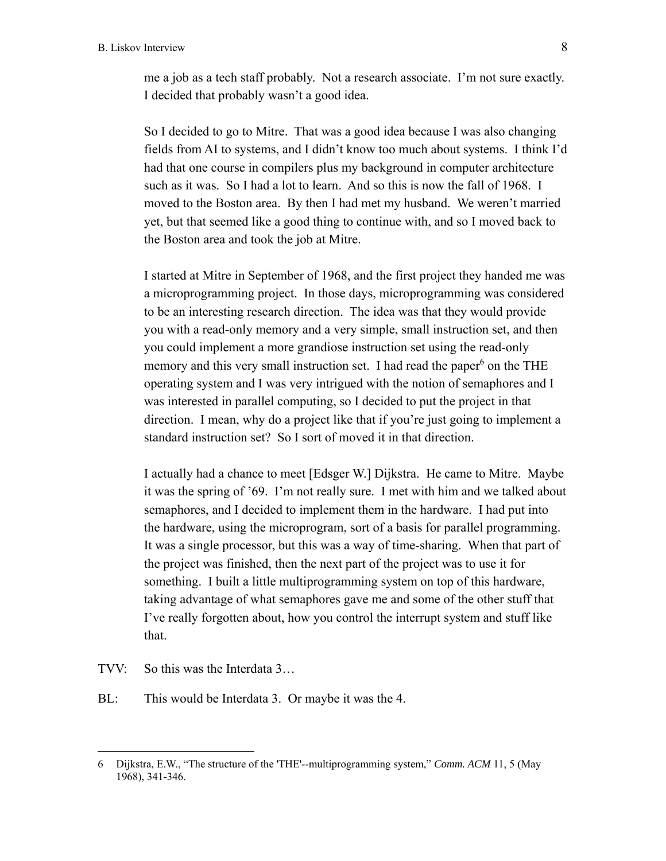me a job as a tech staff probably. Not a research associate. I'm not sure exactly. I decided that probably wasn't a good idea.

So I decided to go to Mitre. That was a good idea because I was also changing fields from AI to systems, and I didn't know too much about systems. I think I'd had that one course in compilers plus my background in computer architecture such as it was. So I had a lot to learn. And so this is now the fall of 1968. I moved to the Boston area. By then I had met my husband. We weren't married yet, but that seemed like a good thing to continue with, and so I moved back to the Boston area and took the job at Mitre.

I started at Mitre in September of 1968, and the first project they handed me was a microprogramming project. In those days, microprogramming was considered to be an interesting research direction. The idea was that they would provide you with a read-only memory and a very simple, small instruction set, and then you could implement a more grandiose instruction set using the read-only memory and this very small instruction set. I had read the paper<sup>6</sup> on the THE operating system and I was very intrigued with the notion of semaphores and I was interested in parallel computing, so I decided to put the project in that direction. I mean, why do a project like that if you're just going to implement a standard instruction set? So I sort of moved it in that direction.

I actually had a chance to meet [Edsger W.] Dijkstra. He came to Mitre. Maybe it was the spring of '69. I'm not really sure. I met with him and we talked about semaphores, and I decided to implement them in the hardware. I had put into the hardware, using the microprogram, sort of a basis for parallel programming. It was a single processor, but this was a way of time-sharing. When that part of the project was finished, then the next part of the project was to use it for something. I built a little multiprogramming system on top of this hardware, taking advantage of what semaphores gave me and some of the other stuff that I've really forgotten about, how you control the interrupt system and stuff like that.

TVV: So this was the Interdata 3…

BL: This would be Interdata 3. Or maybe it was the 4.

<sup>6</sup> Dijkstra, E.W., "The structure of the 'THE'--multiprogramming system," *Comm. ACM* 11, 5 (May 1968), 341-346.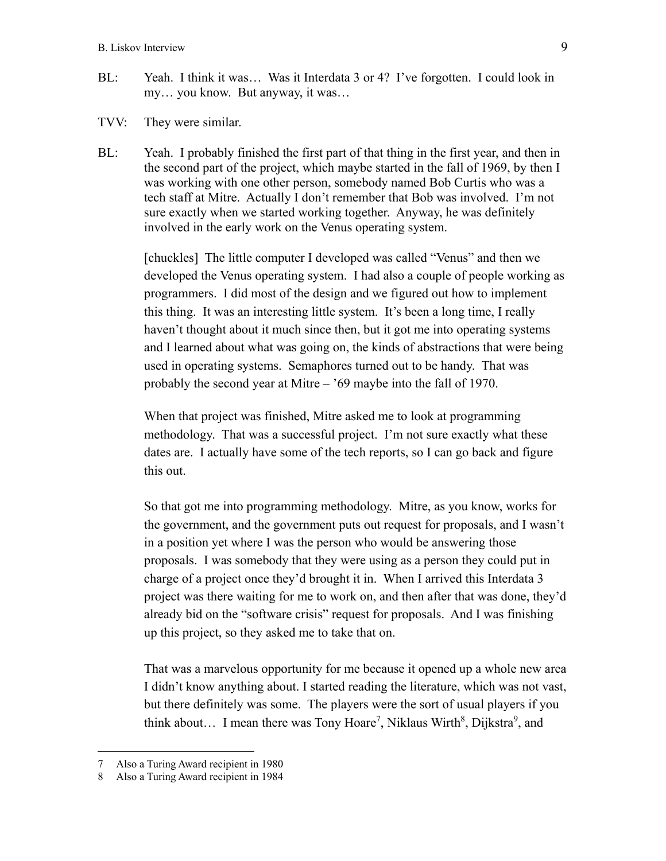- BL: Yeah. I think it was… Was it Interdata 3 or 4? I've forgotten. I could look in my… you know. But anyway, it was…
- TVV: They were similar.
- BL: Yeah. I probably finished the first part of that thing in the first year, and then in the second part of the project, which maybe started in the fall of 1969, by then I was working with one other person, somebody named Bob Curtis who was a tech staff at Mitre. Actually I don't remember that Bob was involved. I'm not sure exactly when we started working together. Anyway, he was definitely involved in the early work on the Venus operating system.

[chuckles] The little computer I developed was called "Venus" and then we developed the Venus operating system. I had also a couple of people working as programmers. I did most of the design and we figured out how to implement this thing. It was an interesting little system. It's been a long time, I really haven't thought about it much since then, but it got me into operating systems and I learned about what was going on, the kinds of abstractions that were being used in operating systems. Semaphores turned out to be handy. That was probably the second year at Mitre – '69 maybe into the fall of 1970.

When that project was finished, Mitre asked me to look at programming methodology. That was a successful project. I'm not sure exactly what these dates are. I actually have some of the tech reports, so I can go back and figure this out.

So that got me into programming methodology. Mitre, as you know, works for the government, and the government puts out request for proposals, and I wasn't in a position yet where I was the person who would be answering those proposals. I was somebody that they were using as a person they could put in charge of a project once they'd brought it in. When I arrived this Interdata 3 project was there waiting for me to work on, and then after that was done, they'd already bid on the "software crisis" request for proposals. And I was finishing up this project, so they asked me to take that on.

That was a marvelous opportunity for me because it opened up a whole new area I didn't know anything about. I started reading the literature, which was not vast, but there definitely was some. The players were the sort of usual players if you think about... I mean there was Tony Hoare<sup>7</sup>, Niklaus Wirth<sup>8</sup>, Dijkstra<sup>9</sup>, and

<sup>7</sup> Also a Turing Award recipient in 1980

<sup>8</sup> Also a Turing Award recipient in 1984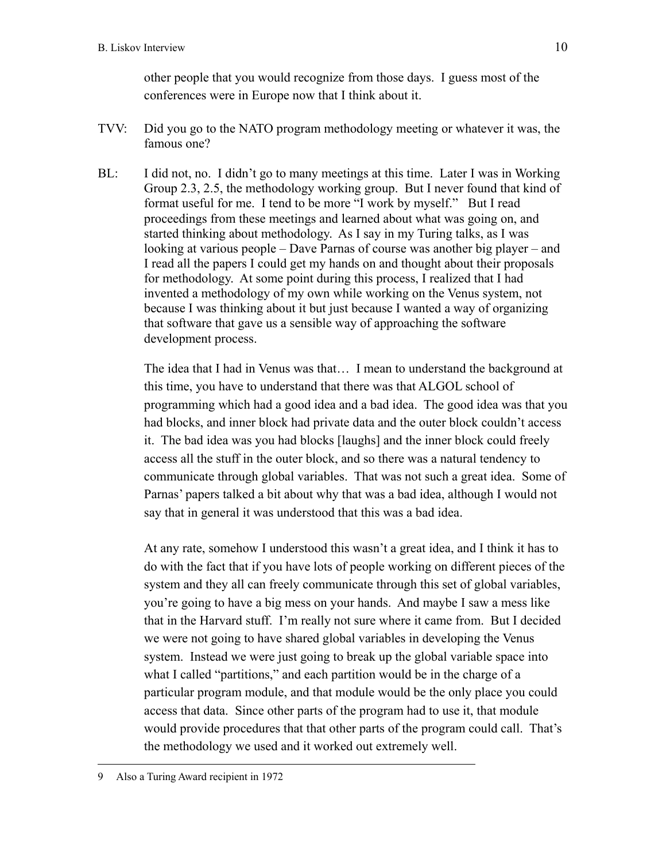other people that you would recognize from those days. I guess most of the conferences were in Europe now that I think about it.

- TVV: Did you go to the NATO program methodology meeting or whatever it was, the famous one?
- BL: I did not, no. I didn't go to many meetings at this time. Later I was in Working Group 2.3, 2.5, the methodology working group. But I never found that kind of format useful for me. I tend to be more "I work by myself." But I read proceedings from these meetings and learned about what was going on, and started thinking about methodology. As I say in my Turing talks, as I was looking at various people – Dave Parnas of course was another big player – and I read all the papers I could get my hands on and thought about their proposals for methodology. At some point during this process, I realized that I had invented a methodology of my own while working on the Venus system, not because I was thinking about it but just because I wanted a way of organizing that software that gave us a sensible way of approaching the software development process.

The idea that I had in Venus was that… I mean to understand the background at this time, you have to understand that there was that ALGOL school of programming which had a good idea and a bad idea. The good idea was that you had blocks, and inner block had private data and the outer block couldn't access it. The bad idea was you had blocks [laughs] and the inner block could freely access all the stuff in the outer block, and so there was a natural tendency to communicate through global variables. That was not such a great idea. Some of Parnas' papers talked a bit about why that was a bad idea, although I would not say that in general it was understood that this was a bad idea.

At any rate, somehow I understood this wasn't a great idea, and I think it has to do with the fact that if you have lots of people working on different pieces of the system and they all can freely communicate through this set of global variables, you're going to have a big mess on your hands. And maybe I saw a mess like that in the Harvard stuff. I'm really not sure where it came from. But I decided we were not going to have shared global variables in developing the Venus system. Instead we were just going to break up the global variable space into what I called "partitions," and each partition would be in the charge of a particular program module, and that module would be the only place you could access that data. Since other parts of the program had to use it, that module would provide procedures that that other parts of the program could call. That's the methodology we used and it worked out extremely well.

<sup>9</sup> Also a Turing Award recipient in 1972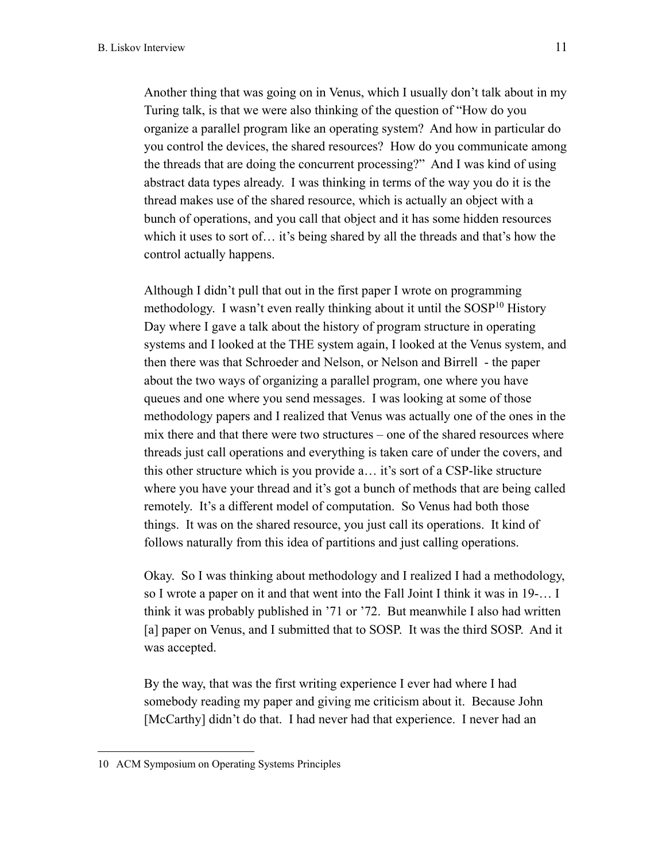Another thing that was going on in Venus, which I usually don't talk about in my Turing talk, is that we were also thinking of the question of "How do you organize a parallel program like an operating system? And how in particular do you control the devices, the shared resources? How do you communicate among the threads that are doing the concurrent processing?" And I was kind of using abstract data types already. I was thinking in terms of the way you do it is the thread makes use of the shared resource, which is actually an object with a bunch of operations, and you call that object and it has some hidden resources which it uses to sort of… it's being shared by all the threads and that's how the control actually happens.

Although I didn't pull that out in the first paper I wrote on programming methodology. I wasn't even really thinking about it until the  $SOSP<sup>10</sup>$  History Day where I gave a talk about the history of program structure in operating systems and I looked at the THE system again, I looked at the Venus system, and then there was that Schroeder and Nelson, or Nelson and Birrell - the paper about the two ways of organizing a parallel program, one where you have queues and one where you send messages. I was looking at some of those methodology papers and I realized that Venus was actually one of the ones in the mix there and that there were two structures – one of the shared resources where threads just call operations and everything is taken care of under the covers, and this other structure which is you provide a… it's sort of a CSP-like structure where you have your thread and it's got a bunch of methods that are being called remotely. It's a different model of computation. So Venus had both those things. It was on the shared resource, you just call its operations. It kind of follows naturally from this idea of partitions and just calling operations.

Okay. So I was thinking about methodology and I realized I had a methodology, so I wrote a paper on it and that went into the Fall Joint I think it was in 19-… I think it was probably published in '71 or '72. But meanwhile I also had written [a] paper on Venus, and I submitted that to SOSP. It was the third SOSP. And it was accepted.

By the way, that was the first writing experience I ever had where I had somebody reading my paper and giving me criticism about it. Because John [McCarthy] didn't do that. I had never had that experience. I never had an

<sup>10</sup> ACM Symposium on Operating Systems Principles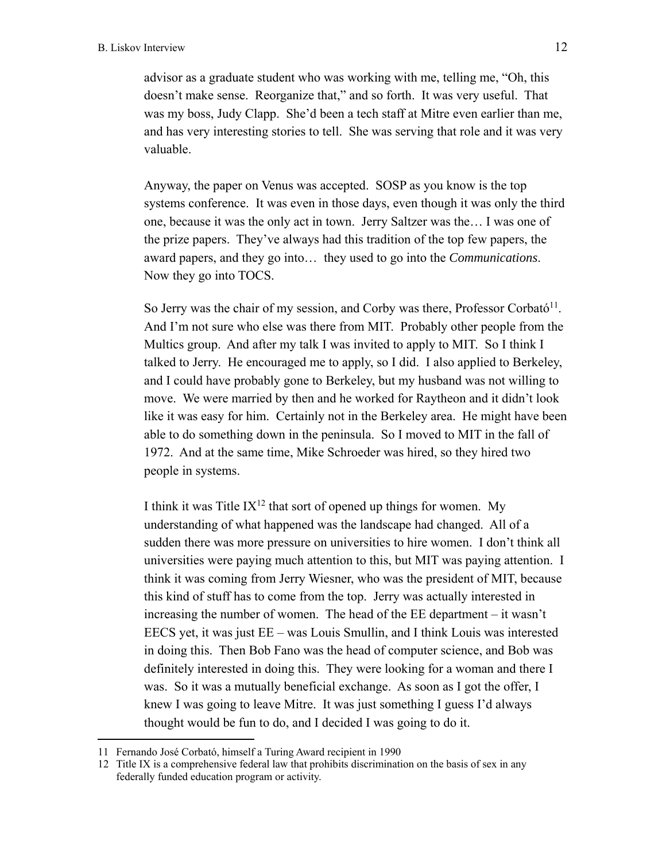advisor as a graduate student who was working with me, telling me, "Oh, this doesn't make sense. Reorganize that," and so forth. It was very useful. That was my boss, Judy Clapp. She'd been a tech staff at Mitre even earlier than me, and has very interesting stories to tell. She was serving that role and it was very valuable.

Anyway, the paper on Venus was accepted. SOSP as you know is the top systems conference. It was even in those days, even though it was only the third one, because it was the only act in town. Jerry Saltzer was the… I was one of the prize papers. They've always had this tradition of the top few papers, the award papers, and they go into… they used to go into the *Communications*. Now they go into TOCS.

So Jerry was the chair of my session, and Corby was there, Professor Corbató<sup>11</sup>. And I'm not sure who else was there from MIT. Probably other people from the Multics group. And after my talk I was invited to apply to MIT. So I think I talked to Jerry. He encouraged me to apply, so I did. I also applied to Berkeley, and I could have probably gone to Berkeley, but my husband was not willing to move. We were married by then and he worked for Raytheon and it didn't look like it was easy for him. Certainly not in the Berkeley area. He might have been able to do something down in the peninsula. So I moved to MIT in the fall of 1972. And at the same time, Mike Schroeder was hired, so they hired two people in systems.

I think it was Title  $IX^{12}$  that sort of opened up things for women. My understanding of what happened was the landscape had changed. All of a sudden there was more pressure on universities to hire women. I don't think all universities were paying much attention to this, but MIT was paying attention. I think it was coming from Jerry Wiesner, who was the president of MIT, because this kind of stuff has to come from the top. Jerry was actually interested in increasing the number of women. The head of the EE department – it wasn't EECS yet, it was just EE – was Louis Smullin, and I think Louis was interested in doing this. Then Bob Fano was the head of computer science, and Bob was definitely interested in doing this. They were looking for a woman and there I was. So it was a mutually beneficial exchange. As soon as I got the offer, I knew I was going to leave Mitre. It was just something I guess I'd always thought would be fun to do, and I decided I was going to do it.

<sup>11</sup> Fernando José Corbató, himself a Turing Award recipient in 1990

<sup>12</sup> Title IX is a comprehensive federal law that prohibits discrimination on the basis of sex in any federally funded education program or activity.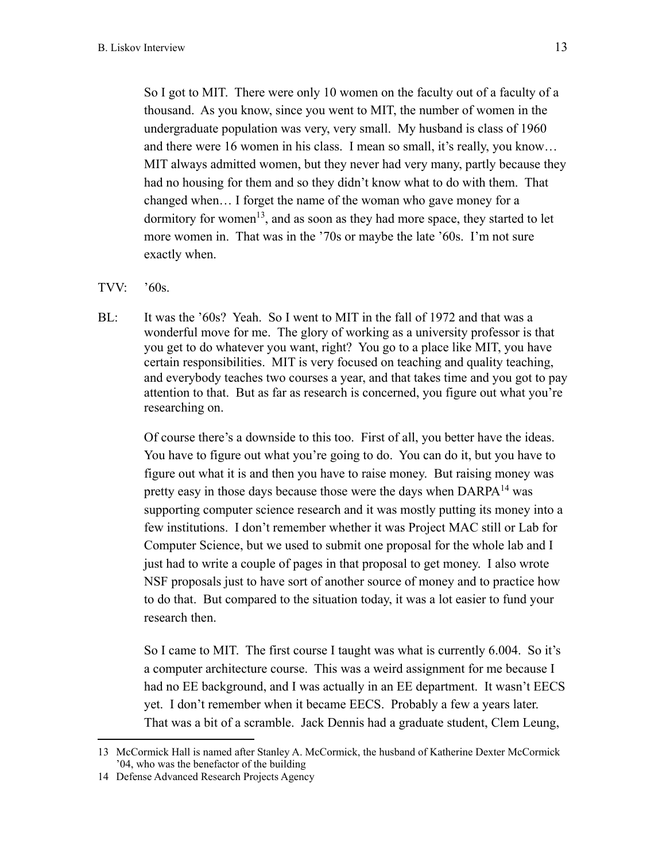So I got to MIT. There were only 10 women on the faculty out of a faculty of a thousand. As you know, since you went to MIT, the number of women in the undergraduate population was very, very small. My husband is class of 1960 and there were 16 women in his class. I mean so small, it's really, you know… MIT always admitted women, but they never had very many, partly because they had no housing for them and so they didn't know what to do with them. That changed when… I forget the name of the woman who gave money for a dormitory for women<sup>13</sup>, and as soon as they had more space, they started to let more women in. That was in the '70s or maybe the late '60s. I'm not sure exactly when.

# TVV:  $'60s$ .

BL: It was the '60s? Yeah. So I went to MIT in the fall of 1972 and that was a wonderful move for me. The glory of working as a university professor is that you get to do whatever you want, right? You go to a place like MIT, you have certain responsibilities. MIT is very focused on teaching and quality teaching, and everybody teaches two courses a year, and that takes time and you got to pay attention to that. But as far as research is concerned, you figure out what you're researching on.

Of course there's a downside to this too. First of all, you better have the ideas. You have to figure out what you're going to do. You can do it, but you have to figure out what it is and then you have to raise money. But raising money was pretty easy in those days because those were the days when DARPA<sup>14</sup> was supporting computer science research and it was mostly putting its money into a few institutions. I don't remember whether it was Project MAC still or Lab for Computer Science, but we used to submit one proposal for the whole lab and I just had to write a couple of pages in that proposal to get money. I also wrote NSF proposals just to have sort of another source of money and to practice how to do that. But compared to the situation today, it was a lot easier to fund your research then.

So I came to MIT. The first course I taught was what is currently 6.004. So it's a computer architecture course. This was a weird assignment for me because I had no EE background, and I was actually in an EE department. It wasn't EECS yet. I don't remember when it became EECS. Probably a few a years later. That was a bit of a scramble. Jack Dennis had a graduate student, Clem Leung,

<sup>13</sup> McCormick Hall is named after Stanley A. McCormick, the husband of Katherine Dexter McCormick '04, who was the benefactor of the building

<sup>14</sup> Defense Advanced Research Projects Agency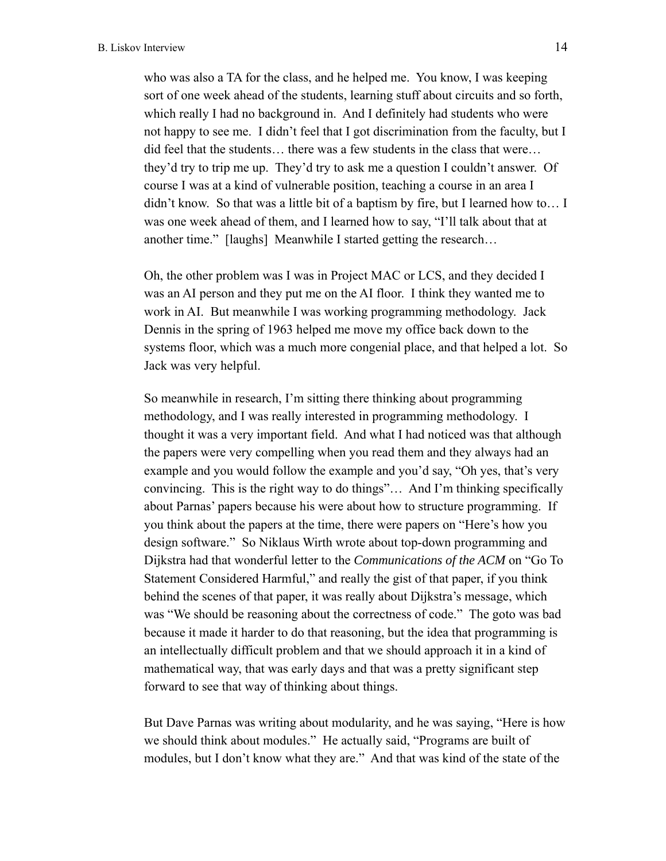who was also a TA for the class, and he helped me. You know, I was keeping sort of one week ahead of the students, learning stuff about circuits and so forth, which really I had no background in. And I definitely had students who were not happy to see me. I didn't feel that I got discrimination from the faculty, but I did feel that the students… there was a few students in the class that were… they'd try to trip me up. They'd try to ask me a question I couldn't answer. Of course I was at a kind of vulnerable position, teaching a course in an area I didn't know. So that was a little bit of a baptism by fire, but I learned how to… I was one week ahead of them, and I learned how to say, "I'll talk about that at another time." [laughs] Meanwhile I started getting the research…

Oh, the other problem was I was in Project MAC or LCS, and they decided I was an AI person and they put me on the AI floor. I think they wanted me to work in AI. But meanwhile I was working programming methodology. Jack Dennis in the spring of 1963 helped me move my office back down to the systems floor, which was a much more congenial place, and that helped a lot. So Jack was very helpful.

So meanwhile in research, I'm sitting there thinking about programming methodology, and I was really interested in programming methodology. I thought it was a very important field. And what I had noticed was that although the papers were very compelling when you read them and they always had an example and you would follow the example and you'd say, "Oh yes, that's very convincing. This is the right way to do things"… And I'm thinking specifically about Parnas' papers because his were about how to structure programming. If you think about the papers at the time, there were papers on "Here's how you design software." So Niklaus Wirth wrote about top-down programming and Dijkstra had that wonderful letter to the *Communications of the ACM* on "Go To Statement Considered Harmful," and really the gist of that paper, if you think behind the scenes of that paper, it was really about Dijkstra's message, which was "We should be reasoning about the correctness of code." The goto was bad because it made it harder to do that reasoning, but the idea that programming is an intellectually difficult problem and that we should approach it in a kind of mathematical way, that was early days and that was a pretty significant step forward to see that way of thinking about things.

But Dave Parnas was writing about modularity, and he was saying, "Here is how we should think about modules." He actually said, "Programs are built of modules, but I don't know what they are." And that was kind of the state of the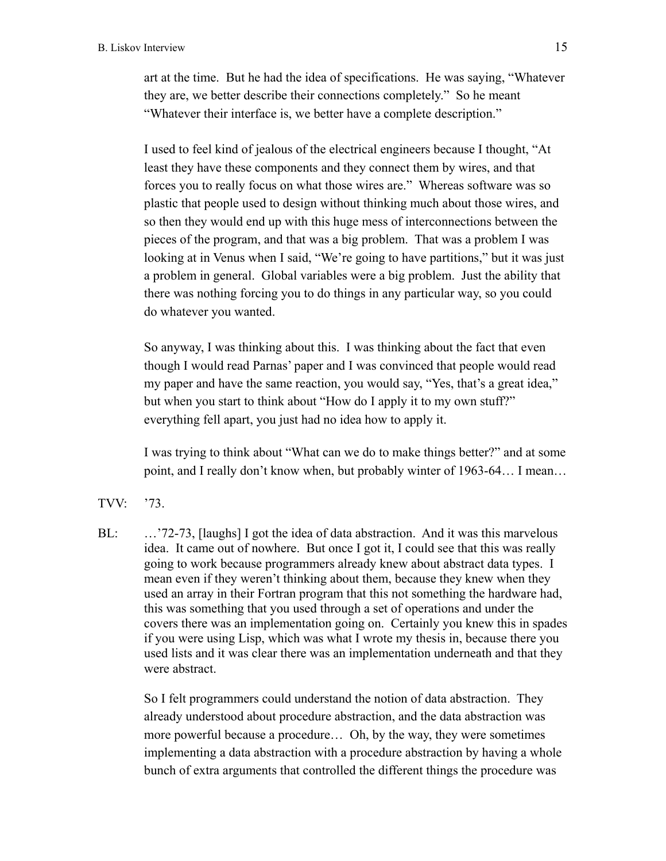art at the time. But he had the idea of specifications. He was saying, "Whatever they are, we better describe their connections completely." So he meant "Whatever their interface is, we better have a complete description."

I used to feel kind of jealous of the electrical engineers because I thought, "At least they have these components and they connect them by wires, and that forces you to really focus on what those wires are." Whereas software was so plastic that people used to design without thinking much about those wires, and so then they would end up with this huge mess of interconnections between the pieces of the program, and that was a big problem. That was a problem I was looking at in Venus when I said, "We're going to have partitions," but it was just a problem in general. Global variables were a big problem. Just the ability that there was nothing forcing you to do things in any particular way, so you could do whatever you wanted.

So anyway, I was thinking about this. I was thinking about the fact that even though I would read Parnas' paper and I was convinced that people would read my paper and have the same reaction, you would say, "Yes, that's a great idea," but when you start to think about "How do I apply it to my own stuff?" everything fell apart, you just had no idea how to apply it.

I was trying to think about "What can we do to make things better?" and at some point, and I really don't know when, but probably winter of 1963-64… I mean…

- TVV: '73.
- BL: ...'72-73, [laughs] I got the idea of data abstraction. And it was this marvelous idea. It came out of nowhere. But once I got it, I could see that this was really going to work because programmers already knew about abstract data types. I mean even if they weren't thinking about them, because they knew when they used an array in their Fortran program that this not something the hardware had, this was something that you used through a set of operations and under the covers there was an implementation going on. Certainly you knew this in spades if you were using Lisp, which was what I wrote my thesis in, because there you used lists and it was clear there was an implementation underneath and that they were abstract.

So I felt programmers could understand the notion of data abstraction. They already understood about procedure abstraction, and the data abstraction was more powerful because a procedure… Oh, by the way, they were sometimes implementing a data abstraction with a procedure abstraction by having a whole bunch of extra arguments that controlled the different things the procedure was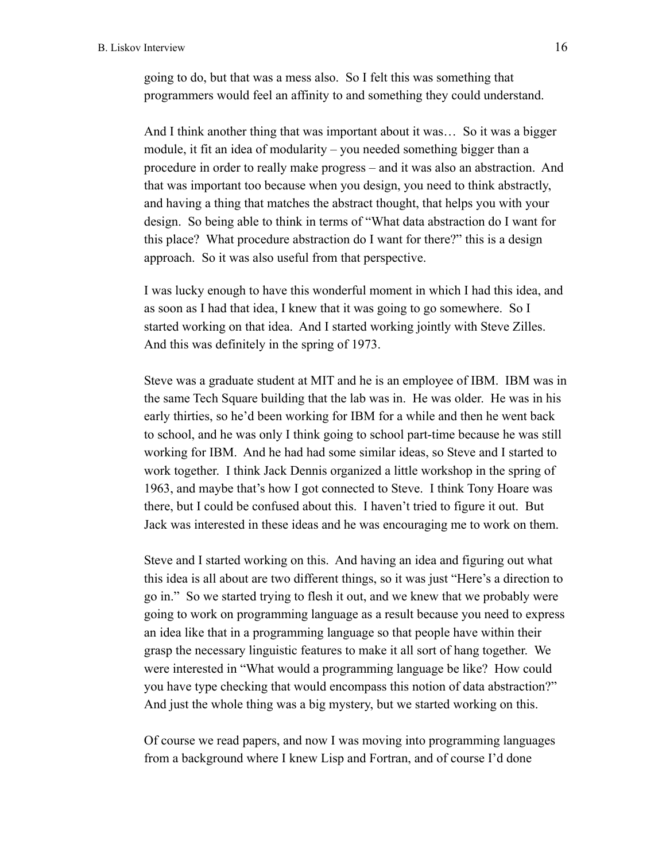going to do, but that was a mess also. So I felt this was something that programmers would feel an affinity to and something they could understand.

And I think another thing that was important about it was… So it was a bigger module, it fit an idea of modularity – you needed something bigger than a procedure in order to really make progress – and it was also an abstraction. And that was important too because when you design, you need to think abstractly, and having a thing that matches the abstract thought, that helps you with your design. So being able to think in terms of "What data abstraction do I want for this place? What procedure abstraction do I want for there?" this is a design approach. So it was also useful from that perspective.

I was lucky enough to have this wonderful moment in which I had this idea, and as soon as I had that idea, I knew that it was going to go somewhere. So I started working on that idea. And I started working jointly with Steve Zilles. And this was definitely in the spring of 1973.

Steve was a graduate student at MIT and he is an employee of IBM. IBM was in the same Tech Square building that the lab was in. He was older. He was in his early thirties, so he'd been working for IBM for a while and then he went back to school, and he was only I think going to school part-time because he was still working for IBM. And he had had some similar ideas, so Steve and I started to work together. I think Jack Dennis organized a little workshop in the spring of 1963, and maybe that's how I got connected to Steve. I think Tony Hoare was there, but I could be confused about this. I haven't tried to figure it out. But Jack was interested in these ideas and he was encouraging me to work on them.

Steve and I started working on this. And having an idea and figuring out what this idea is all about are two different things, so it was just "Here's a direction to go in." So we started trying to flesh it out, and we knew that we probably were going to work on programming language as a result because you need to express an idea like that in a programming language so that people have within their grasp the necessary linguistic features to make it all sort of hang together. We were interested in "What would a programming language be like? How could you have type checking that would encompass this notion of data abstraction?" And just the whole thing was a big mystery, but we started working on this.

Of course we read papers, and now I was moving into programming languages from a background where I knew Lisp and Fortran, and of course I'd done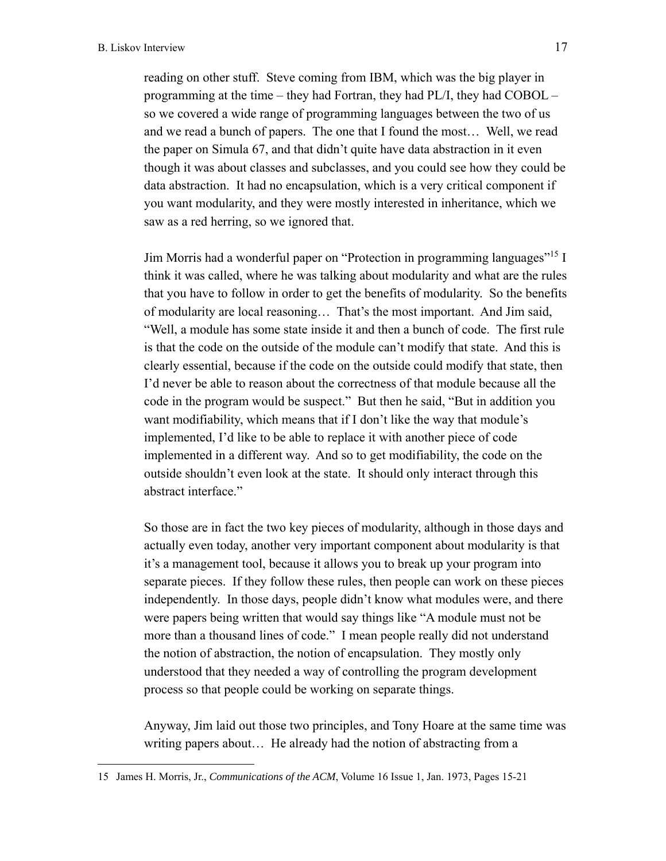reading on other stuff. Steve coming from IBM, which was the big player in programming at the time – they had Fortran, they had PL/I, they had COBOL – so we covered a wide range of programming languages between the two of us and we read a bunch of papers. The one that I found the most… Well, we read the paper on Simula 67, and that didn't quite have data abstraction in it even though it was about classes and subclasses, and you could see how they could be data abstraction. It had no encapsulation, which is a very critical component if you want modularity, and they were mostly interested in inheritance, which we saw as a red herring, so we ignored that.

Jim Morris had a wonderful paper on "Protection in programming languages"15 I think it was called, where he was talking about modularity and what are the rules that you have to follow in order to get the benefits of modularity. So the benefits of modularity are local reasoning… That's the most important. And Jim said, "Well, a module has some state inside it and then a bunch of code. The first rule is that the code on the outside of the module can't modify that state. And this is clearly essential, because if the code on the outside could modify that state, then I'd never be able to reason about the correctness of that module because all the code in the program would be suspect." But then he said, "But in addition you want modifiability, which means that if I don't like the way that module's implemented, I'd like to be able to replace it with another piece of code implemented in a different way. And so to get modifiability, the code on the outside shouldn't even look at the state. It should only interact through this abstract interface."

So those are in fact the two key pieces of modularity, although in those days and actually even today, another very important component about modularity is that it's a management tool, because it allows you to break up your program into separate pieces. If they follow these rules, then people can work on these pieces independently. In those days, people didn't know what modules were, and there were papers being written that would say things like "A module must not be more than a thousand lines of code." I mean people really did not understand the notion of abstraction, the notion of encapsulation. They mostly only understood that they needed a way of controlling the program development process so that people could be working on separate things.

Anyway, Jim laid out those two principles, and Tony Hoare at the same time was writing papers about… He already had the notion of abstracting from a

<sup>15</sup> James H. Morris, Jr., *Communications of the ACM*, Volume 16 Issue 1, Jan. 1973, Pages 15-21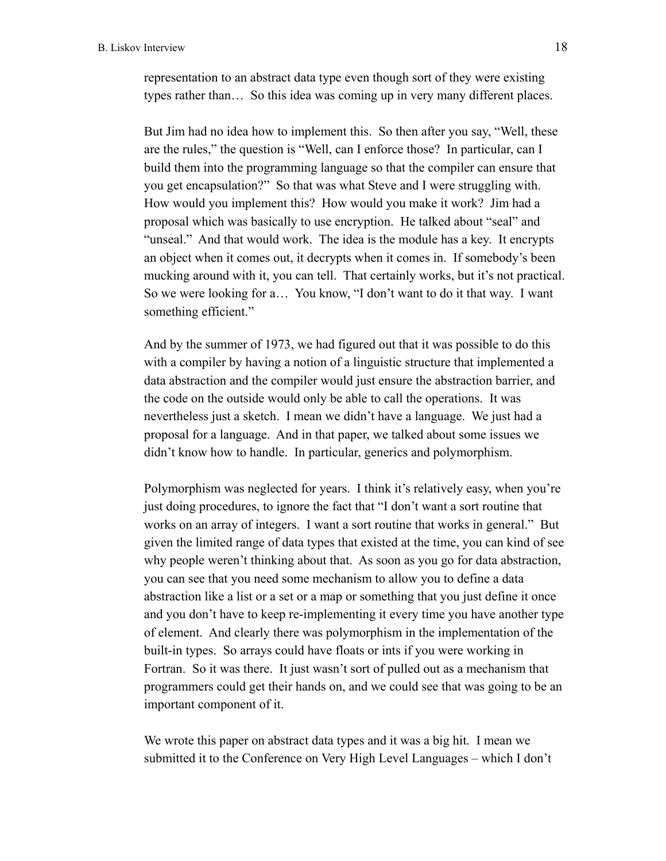representation to an abstract data type even though sort of they were existing types rather than… So this idea was coming up in very many different places.

But Jim had no idea how to implement this. So then after you say, "Well, these are the rules," the question is "Well, can I enforce those? In particular, can I build them into the programming language so that the compiler can ensure that you get encapsulation?" So that was what Steve and I were struggling with. How would you implement this? How would you make it work? Jim had a proposal which was basically to use encryption. He talked about "seal" and "unseal." And that would work. The idea is the module has a key. It encrypts an object when it comes out, it decrypts when it comes in. If somebody's been mucking around with it, you can tell. That certainly works, but it's not practical. So we were looking for a… You know, "I don't want to do it that way. I want something efficient."

And by the summer of 1973, we had figured out that it was possible to do this with a compiler by having a notion of a linguistic structure that implemented a data abstraction and the compiler would just ensure the abstraction barrier, and the code on the outside would only be able to call the operations. It was nevertheless just a sketch. I mean we didn't have a language. We just had a proposal for a language. And in that paper, we talked about some issues we didn't know how to handle. In particular, generics and polymorphism.

Polymorphism was neglected for years. I think it's relatively easy, when you're just doing procedures, to ignore the fact that "I don't want a sort routine that works on an array of integers. I want a sort routine that works in general." But given the limited range of data types that existed at the time, you can kind of see why people weren't thinking about that. As soon as you go for data abstraction, you can see that you need some mechanism to allow you to define a data abstraction like a list or a set or a map or something that you just define it once and you don't have to keep re-implementing it every time you have another type of element. And clearly there was polymorphism in the implementation of the built-in types. So arrays could have floats or ints if you were working in Fortran. So it was there. It just wasn't sort of pulled out as a mechanism that programmers could get their hands on, and we could see that was going to be an important component of it.

We wrote this paper on abstract data types and it was a big hit. I mean we submitted it to the Conference on Very High Level Languages – which I don't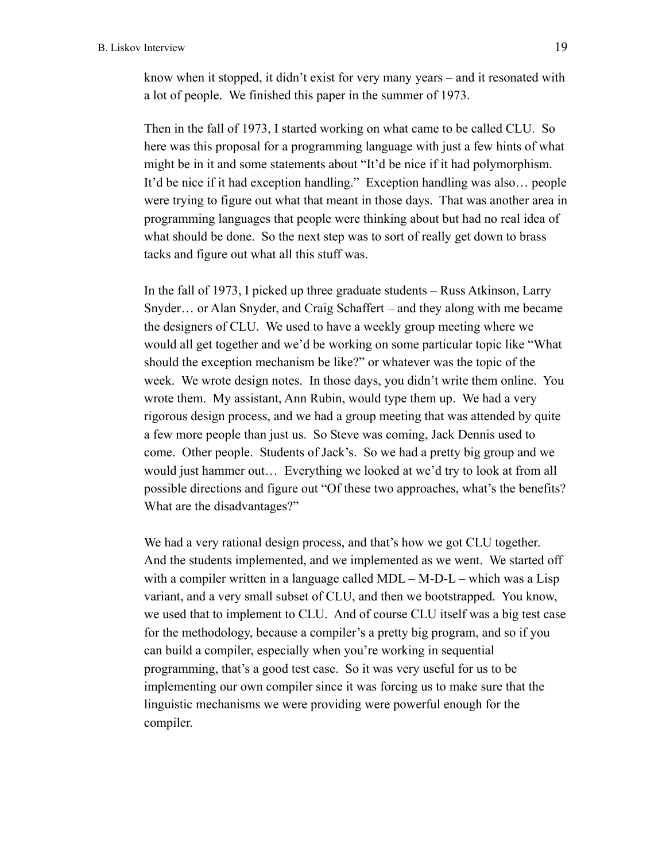know when it stopped, it didn't exist for very many years – and it resonated with a lot of people. We finished this paper in the summer of 1973.

Then in the fall of 1973, I started working on what came to be called CLU. So here was this proposal for a programming language with just a few hints of what might be in it and some statements about "It'd be nice if it had polymorphism. It'd be nice if it had exception handling." Exception handling was also… people were trying to figure out what that meant in those days. That was another area in programming languages that people were thinking about but had no real idea of what should be done. So the next step was to sort of really get down to brass tacks and figure out what all this stuff was.

In the fall of 1973, I picked up three graduate students – Russ Atkinson, Larry Snyder… or Alan Snyder, and Craig Schaffert – and they along with me became the designers of CLU. We used to have a weekly group meeting where we would all get together and we'd be working on some particular topic like "What should the exception mechanism be like?" or whatever was the topic of the week. We wrote design notes. In those days, you didn't write them online. You wrote them. My assistant, Ann Rubin, would type them up. We had a very rigorous design process, and we had a group meeting that was attended by quite a few more people than just us. So Steve was coming, Jack Dennis used to come. Other people. Students of Jack's. So we had a pretty big group and we would just hammer out… Everything we looked at we'd try to look at from all possible directions and figure out "Of these two approaches, what's the benefits? What are the disadvantages?"

We had a very rational design process, and that's how we got CLU together. And the students implemented, and we implemented as we went. We started off with a compiler written in a language called MDL – M-D-L – which was a Lisp variant, and a very small subset of CLU, and then we bootstrapped. You know, we used that to implement to CLU. And of course CLU itself was a big test case for the methodology, because a compiler's a pretty big program, and so if you can build a compiler, especially when you're working in sequential programming, that's a good test case. So it was very useful for us to be implementing our own compiler since it was forcing us to make sure that the linguistic mechanisms we were providing were powerful enough for the compiler.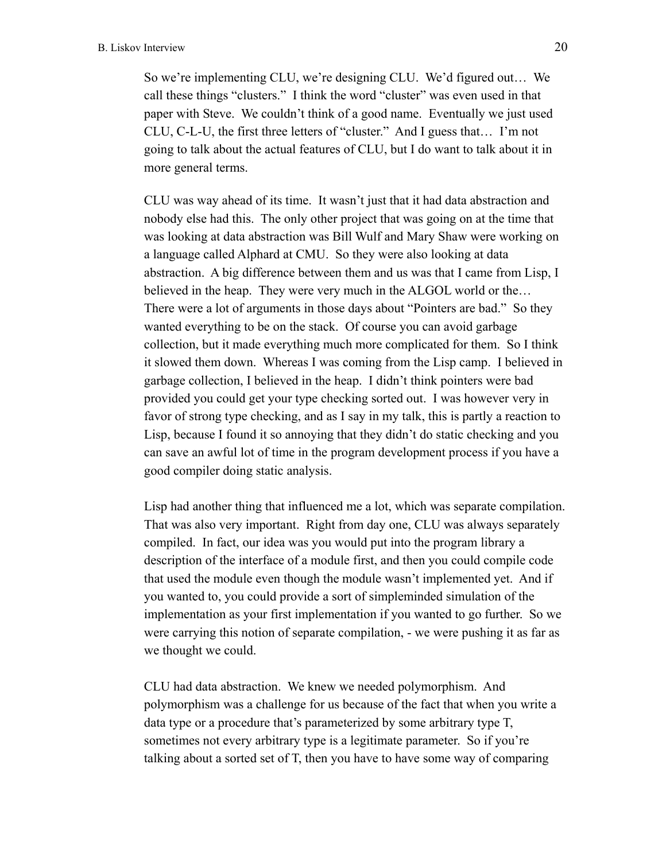So we're implementing CLU, we're designing CLU. We'd figured out… We call these things "clusters." I think the word "cluster" was even used in that paper with Steve. We couldn't think of a good name. Eventually we just used CLU, C-L-U, the first three letters of "cluster." And I guess that… I'm not going to talk about the actual features of CLU, but I do want to talk about it in more general terms.

CLU was way ahead of its time. It wasn't just that it had data abstraction and nobody else had this. The only other project that was going on at the time that was looking at data abstraction was Bill Wulf and Mary Shaw were working on a language called Alphard at CMU. So they were also looking at data abstraction. A big difference between them and us was that I came from Lisp, I believed in the heap. They were very much in the ALGOL world or the… There were a lot of arguments in those days about "Pointers are bad." So they wanted everything to be on the stack. Of course you can avoid garbage collection, but it made everything much more complicated for them. So I think it slowed them down. Whereas I was coming from the Lisp camp. I believed in garbage collection, I believed in the heap. I didn't think pointers were bad provided you could get your type checking sorted out. I was however very in favor of strong type checking, and as I say in my talk, this is partly a reaction to Lisp, because I found it so annoying that they didn't do static checking and you can save an awful lot of time in the program development process if you have a good compiler doing static analysis.

Lisp had another thing that influenced me a lot, which was separate compilation. That was also very important. Right from day one, CLU was always separately compiled. In fact, our idea was you would put into the program library a description of the interface of a module first, and then you could compile code that used the module even though the module wasn't implemented yet. And if you wanted to, you could provide a sort of simpleminded simulation of the implementation as your first implementation if you wanted to go further. So we were carrying this notion of separate compilation, - we were pushing it as far as we thought we could.

CLU had data abstraction. We knew we needed polymorphism. And polymorphism was a challenge for us because of the fact that when you write a data type or a procedure that's parameterized by some arbitrary type T, sometimes not every arbitrary type is a legitimate parameter. So if you're talking about a sorted set of T, then you have to have some way of comparing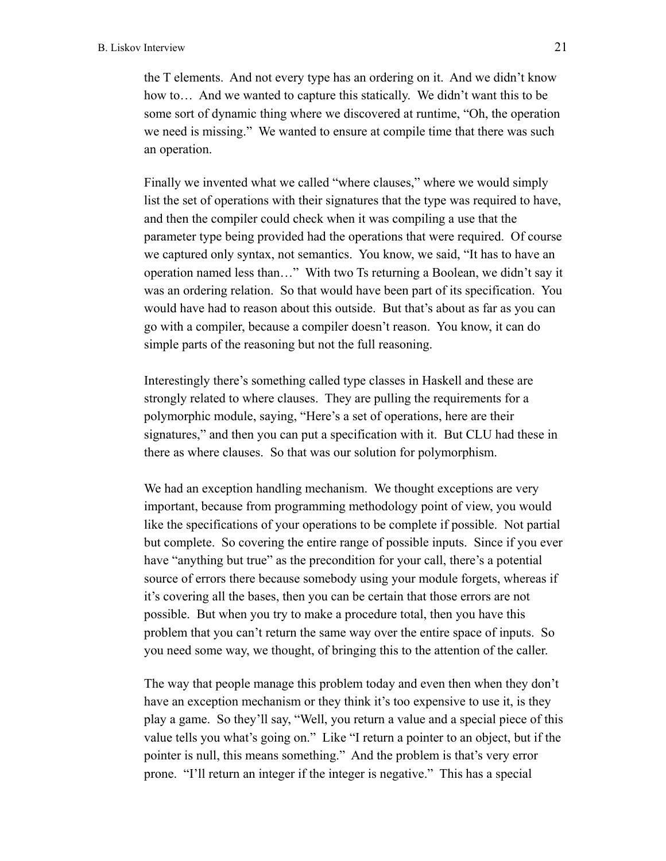the T elements. And not every type has an ordering on it. And we didn't know how to… And we wanted to capture this statically. We didn't want this to be some sort of dynamic thing where we discovered at runtime, "Oh, the operation we need is missing." We wanted to ensure at compile time that there was such an operation.

Finally we invented what we called "where clauses," where we would simply list the set of operations with their signatures that the type was required to have, and then the compiler could check when it was compiling a use that the parameter type being provided had the operations that were required. Of course we captured only syntax, not semantics. You know, we said, "It has to have an operation named less than…" With two Ts returning a Boolean, we didn't say it was an ordering relation. So that would have been part of its specification. You would have had to reason about this outside. But that's about as far as you can go with a compiler, because a compiler doesn't reason. You know, it can do simple parts of the reasoning but not the full reasoning.

Interestingly there's something called type classes in Haskell and these are strongly related to where clauses. They are pulling the requirements for a polymorphic module, saying, "Here's a set of operations, here are their signatures," and then you can put a specification with it. But CLU had these in there as where clauses. So that was our solution for polymorphism.

We had an exception handling mechanism. We thought exceptions are very important, because from programming methodology point of view, you would like the specifications of your operations to be complete if possible. Not partial but complete. So covering the entire range of possible inputs. Since if you ever have "anything but true" as the precondition for your call, there's a potential source of errors there because somebody using your module forgets, whereas if it's covering all the bases, then you can be certain that those errors are not possible. But when you try to make a procedure total, then you have this problem that you can't return the same way over the entire space of inputs. So you need some way, we thought, of bringing this to the attention of the caller.

The way that people manage this problem today and even then when they don't have an exception mechanism or they think it's too expensive to use it, is they play a game. So they'll say, "Well, you return a value and a special piece of this value tells you what's going on." Like "I return a pointer to an object, but if the pointer is null, this means something." And the problem is that's very error prone. "I'll return an integer if the integer is negative." This has a special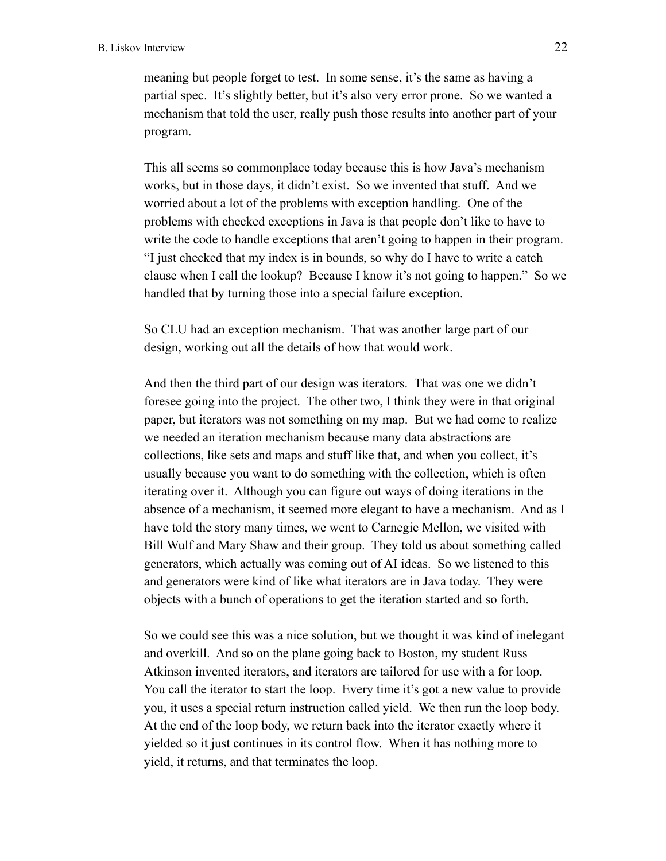meaning but people forget to test. In some sense, it's the same as having a partial spec. It's slightly better, but it's also very error prone. So we wanted a mechanism that told the user, really push those results into another part of your program.

This all seems so commonplace today because this is how Java's mechanism works, but in those days, it didn't exist. So we invented that stuff. And we worried about a lot of the problems with exception handling. One of the problems with checked exceptions in Java is that people don't like to have to write the code to handle exceptions that aren't going to happen in their program. "I just checked that my index is in bounds, so why do I have to write a catch clause when I call the lookup? Because I know it's not going to happen." So we handled that by turning those into a special failure exception.

So CLU had an exception mechanism. That was another large part of our design, working out all the details of how that would work.

And then the third part of our design was iterators. That was one we didn't foresee going into the project. The other two, I think they were in that original paper, but iterators was not something on my map. But we had come to realize we needed an iteration mechanism because many data abstractions are collections, like sets and maps and stuff like that, and when you collect, it's usually because you want to do something with the collection, which is often iterating over it. Although you can figure out ways of doing iterations in the absence of a mechanism, it seemed more elegant to have a mechanism. And as I have told the story many times, we went to Carnegie Mellon, we visited with Bill Wulf and Mary Shaw and their group. They told us about something called generators, which actually was coming out of AI ideas. So we listened to this and generators were kind of like what iterators are in Java today. They were objects with a bunch of operations to get the iteration started and so forth.

So we could see this was a nice solution, but we thought it was kind of inelegant and overkill. And so on the plane going back to Boston, my student Russ Atkinson invented iterators, and iterators are tailored for use with a for loop. You call the iterator to start the loop. Every time it's got a new value to provide you, it uses a special return instruction called yield. We then run the loop body. At the end of the loop body, we return back into the iterator exactly where it yielded so it just continues in its control flow. When it has nothing more to yield, it returns, and that terminates the loop.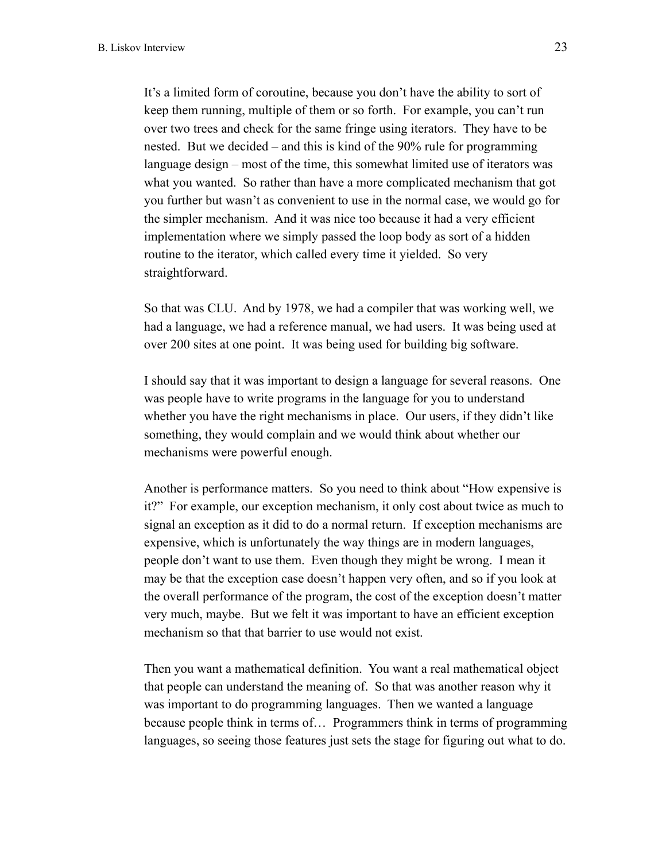It's a limited form of coroutine, because you don't have the ability to sort of keep them running, multiple of them or so forth. For example, you can't run over two trees and check for the same fringe using iterators. They have to be nested. But we decided – and this is kind of the 90% rule for programming language design – most of the time, this somewhat limited use of iterators was what you wanted. So rather than have a more complicated mechanism that got you further but wasn't as convenient to use in the normal case, we would go for the simpler mechanism. And it was nice too because it had a very efficient implementation where we simply passed the loop body as sort of a hidden routine to the iterator, which called every time it yielded. So very straightforward.

So that was CLU. And by 1978, we had a compiler that was working well, we had a language, we had a reference manual, we had users. It was being used at over 200 sites at one point. It was being used for building big software.

I should say that it was important to design a language for several reasons. One was people have to write programs in the language for you to understand whether you have the right mechanisms in place. Our users, if they didn't like something, they would complain and we would think about whether our mechanisms were powerful enough.

Another is performance matters. So you need to think about "How expensive is it?" For example, our exception mechanism, it only cost about twice as much to signal an exception as it did to do a normal return. If exception mechanisms are expensive, which is unfortunately the way things are in modern languages, people don't want to use them. Even though they might be wrong. I mean it may be that the exception case doesn't happen very often, and so if you look at the overall performance of the program, the cost of the exception doesn't matter very much, maybe. But we felt it was important to have an efficient exception mechanism so that that barrier to use would not exist.

Then you want a mathematical definition. You want a real mathematical object that people can understand the meaning of. So that was another reason why it was important to do programming languages. Then we wanted a language because people think in terms of… Programmers think in terms of programming languages, so seeing those features just sets the stage for figuring out what to do.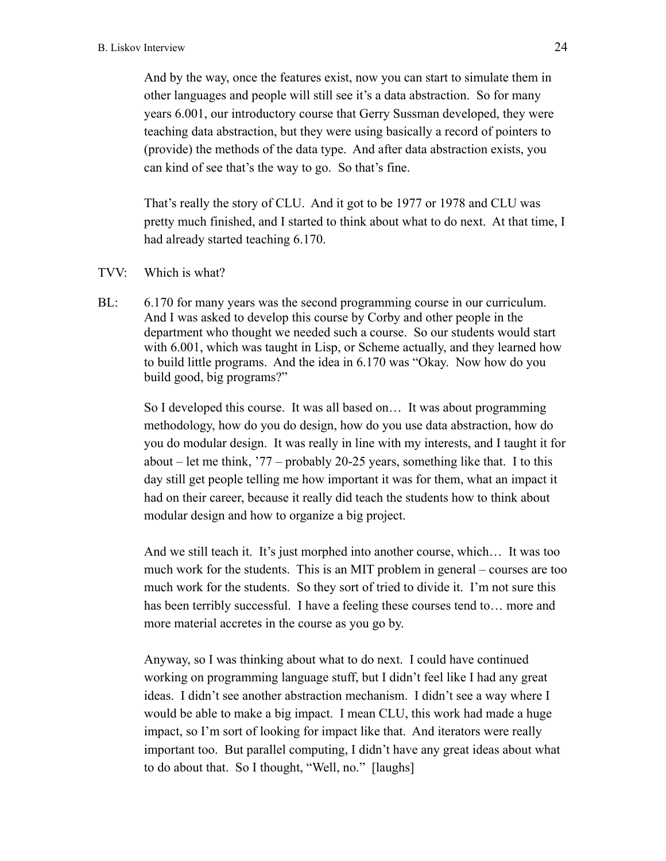And by the way, once the features exist, now you can start to simulate them in other languages and people will still see it's a data abstraction. So for many years 6.001, our introductory course that Gerry Sussman developed, they were teaching data abstraction, but they were using basically a record of pointers to (provide) the methods of the data type. And after data abstraction exists, you can kind of see that's the way to go. So that's fine.

That's really the story of CLU. And it got to be 1977 or 1978 and CLU was pretty much finished, and I started to think about what to do next. At that time, I had already started teaching 6.170.

TVV: Which is what?

BL: 6.170 for many years was the second programming course in our curriculum. And I was asked to develop this course by Corby and other people in the department who thought we needed such a course. So our students would start with 6.001, which was taught in Lisp, or Scheme actually, and they learned how to build little programs. And the idea in 6.170 was "Okay. Now how do you build good, big programs?"

So I developed this course. It was all based on… It was about programming methodology, how do you do design, how do you use data abstraction, how do you do modular design. It was really in line with my interests, and I taught it for about – let me think, '77 – probably 20-25 years, something like that. I to this day still get people telling me how important it was for them, what an impact it had on their career, because it really did teach the students how to think about modular design and how to organize a big project.

And we still teach it. It's just morphed into another course, which… It was too much work for the students. This is an MIT problem in general – courses are too much work for the students. So they sort of tried to divide it. I'm not sure this has been terribly successful. I have a feeling these courses tend to... more and more material accretes in the course as you go by.

Anyway, so I was thinking about what to do next. I could have continued working on programming language stuff, but I didn't feel like I had any great ideas. I didn't see another abstraction mechanism. I didn't see a way where I would be able to make a big impact. I mean CLU, this work had made a huge impact, so I'm sort of looking for impact like that. And iterators were really important too. But parallel computing, I didn't have any great ideas about what to do about that. So I thought, "Well, no." [laughs]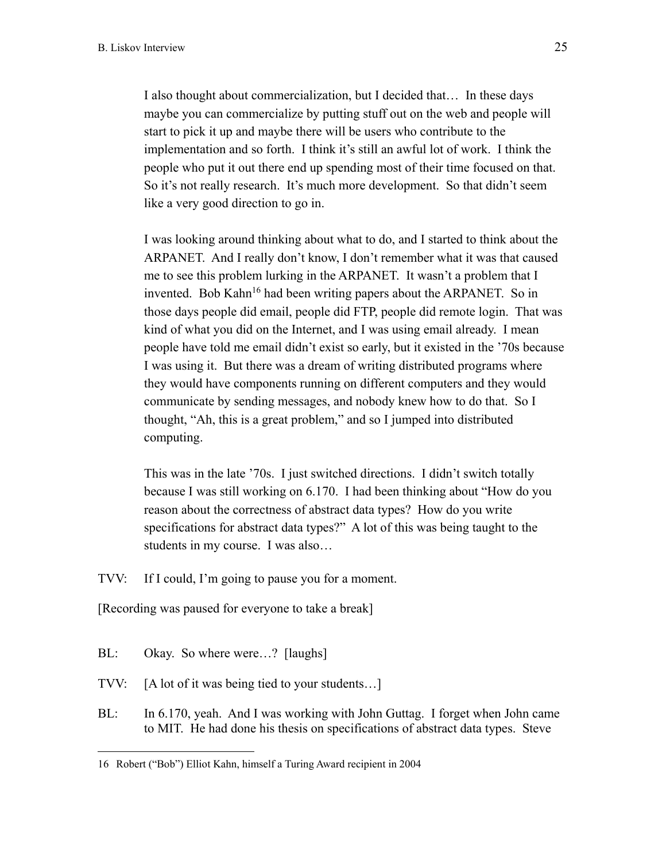I also thought about commercialization, but I decided that… In these days maybe you can commercialize by putting stuff out on the web and people will start to pick it up and maybe there will be users who contribute to the implementation and so forth. I think it's still an awful lot of work. I think the people who put it out there end up spending most of their time focused on that. So it's not really research. It's much more development. So that didn't seem like a very good direction to go in.

I was looking around thinking about what to do, and I started to think about the ARPANET. And I really don't know, I don't remember what it was that caused me to see this problem lurking in the ARPANET. It wasn't a problem that I invented. Bob Kahn<sup>16</sup> had been writing papers about the ARPANET. So in those days people did email, people did FTP, people did remote login. That was kind of what you did on the Internet, and I was using email already. I mean people have told me email didn't exist so early, but it existed in the '70s because I was using it. But there was a dream of writing distributed programs where they would have components running on different computers and they would communicate by sending messages, and nobody knew how to do that. So I thought, "Ah, this is a great problem," and so I jumped into distributed computing.

This was in the late '70s. I just switched directions. I didn't switch totally because I was still working on 6.170. I had been thinking about "How do you reason about the correctness of abstract data types? How do you write specifications for abstract data types?" A lot of this was being taught to the students in my course. I was also…

TVV: If I could, I'm going to pause you for a moment.

[Recording was paused for everyone to take a break]

BL: Okay. So where were...? [laughs]

- TVV: [A lot of it was being tied to your students…]
- BL: In 6.170, yeah. And I was working with John Guttag. I forget when John came to MIT. He had done his thesis on specifications of abstract data types. Steve

<sup>16</sup> Robert ("Bob") Elliot Kahn, himself a Turing Award recipient in 2004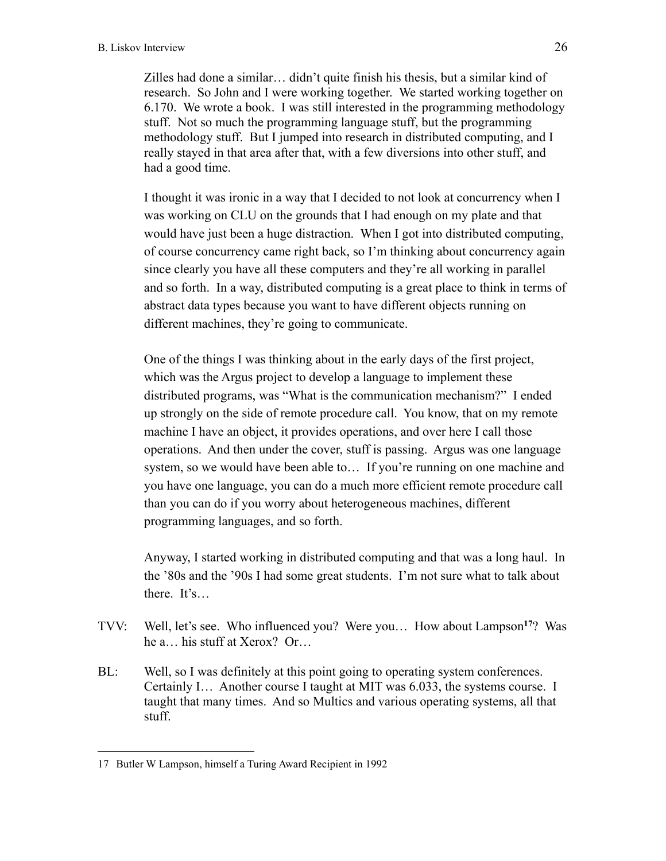Zilles had done a similar… didn't quite finish his thesis, but a similar kind of research. So John and I were working together. We started working together on 6.170. We wrote a book. I was still interested in the programming methodology stuff. Not so much the programming language stuff, but the programming methodology stuff. But I jumped into research in distributed computing, and I really stayed in that area after that, with a few diversions into other stuff, and had a good time.

I thought it was ironic in a way that I decided to not look at concurrency when I was working on CLU on the grounds that I had enough on my plate and that would have just been a huge distraction. When I got into distributed computing, of course concurrency came right back, so I'm thinking about concurrency again since clearly you have all these computers and they're all working in parallel and so forth. In a way, distributed computing is a great place to think in terms of abstract data types because you want to have different objects running on different machines, they're going to communicate.

One of the things I was thinking about in the early days of the first project, which was the Argus project to develop a language to implement these distributed programs, was "What is the communication mechanism?" I ended up strongly on the side of remote procedure call. You know, that on my remote machine I have an object, it provides operations, and over here I call those operations. And then under the cover, stuff is passing. Argus was one language system, so we would have been able to… If you're running on one machine and you have one language, you can do a much more efficient remote procedure call than you can do if you worry about heterogeneous machines, different programming languages, and so forth.

Anyway, I started working in distributed computing and that was a long haul. In the '80s and the '90s I had some great students. I'm not sure what to talk about there. It's…

- TVV: Well, let's see. Who influenced you? Were you… How about Lampson**<sup>17</sup>**? Was he a… his stuff at Xerox? Or…
- BL: Well, so I was definitely at this point going to operating system conferences. Certainly I… Another course I taught at MIT was 6.033, the systems course. I taught that many times. And so Multics and various operating systems, all that stuff.

<sup>17</sup> Butler W Lampson, himself a Turing Award Recipient in 1992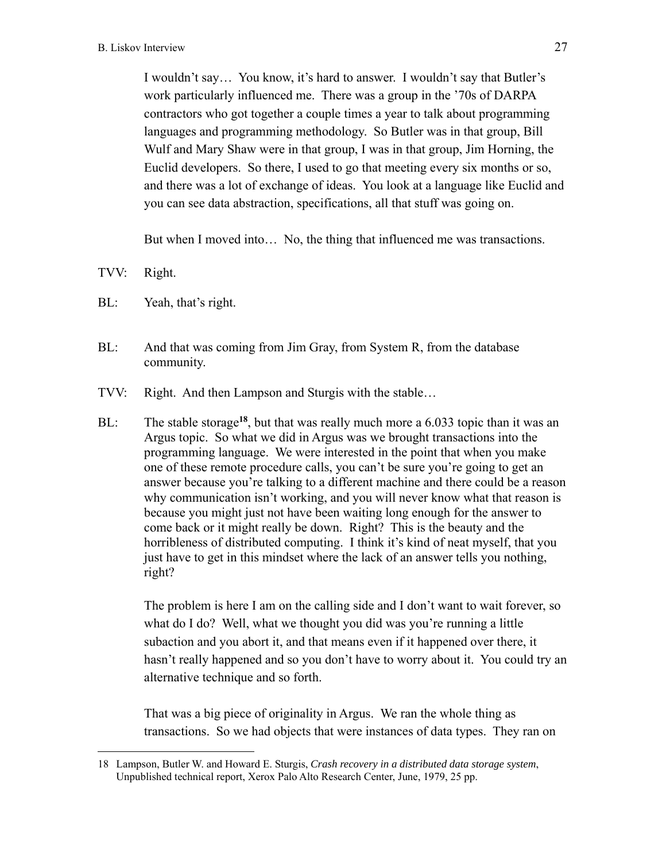I wouldn't say… You know, it's hard to answer. I wouldn't say that Butler's work particularly influenced me. There was a group in the '70s of DARPA contractors who got together a couple times a year to talk about programming languages and programming methodology. So Butler was in that group, Bill Wulf and Mary Shaw were in that group, I was in that group, Jim Horning, the Euclid developers. So there, I used to go that meeting every six months or so, and there was a lot of exchange of ideas. You look at a language like Euclid and you can see data abstraction, specifications, all that stuff was going on.

But when I moved into… No, the thing that influenced me was transactions.

TVV: Right.

BL: Yeah, that's right.

- BL: And that was coming from Jim Gray, from System R, from the database community.
- TVV: Right. And then Lampson and Sturgis with the stable…
- BL: The stable storage**<sup>18</sup>**, but that was really much more a 6.033 topic than it was an Argus topic. So what we did in Argus was we brought transactions into the programming language. We were interested in the point that when you make one of these remote procedure calls, you can't be sure you're going to get an answer because you're talking to a different machine and there could be a reason why communication isn't working, and you will never know what that reason is because you might just not have been waiting long enough for the answer to come back or it might really be down. Right? This is the beauty and the horribleness of distributed computing. I think it's kind of neat myself, that you just have to get in this mindset where the lack of an answer tells you nothing, right?

The problem is here I am on the calling side and I don't want to wait forever, so what do I do? Well, what we thought you did was you're running a little subaction and you abort it, and that means even if it happened over there, it hasn't really happened and so you don't have to worry about it. You could try an alternative technique and so forth.

That was a big piece of originality in Argus. We ran the whole thing as transactions. So we had objects that were instances of data types. They ran on

<sup>18</sup> Lampson, Butler W. and Howard E. Sturgis, *Crash recovery in a distributed data storage system*, Unpublished technical report, Xerox Palo Alto Research Center, June, 1979, 25 pp.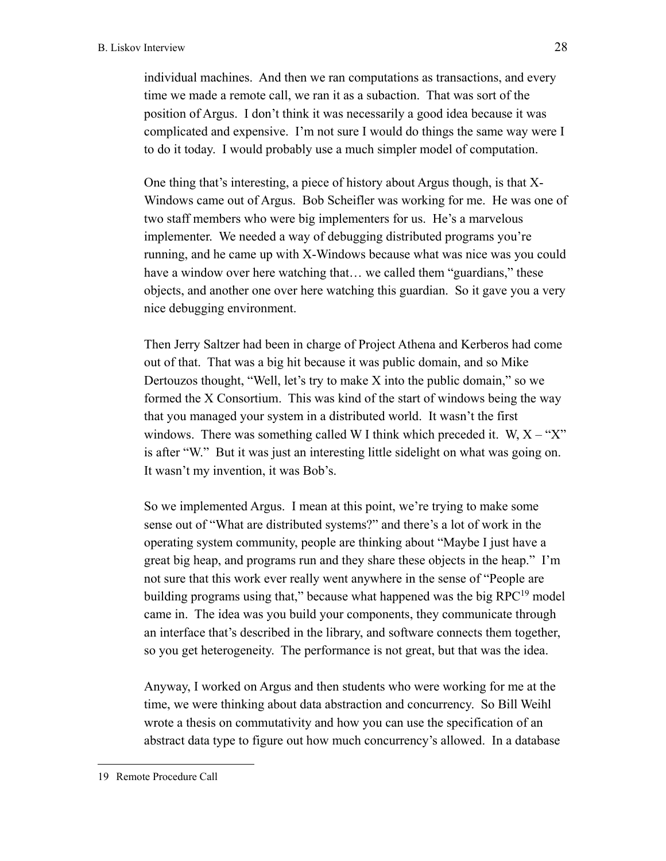individual machines. And then we ran computations as transactions, and every time we made a remote call, we ran it as a subaction. That was sort of the position of Argus. I don't think it was necessarily a good idea because it was complicated and expensive. I'm not sure I would do things the same way were I to do it today. I would probably use a much simpler model of computation.

One thing that's interesting, a piece of history about Argus though, is that X-Windows came out of Argus. Bob Scheifler was working for me. He was one of two staff members who were big implementers for us. He's a marvelous implementer. We needed a way of debugging distributed programs you're running, and he came up with X-Windows because what was nice was you could have a window over here watching that... we called them "guardians," these objects, and another one over here watching this guardian. So it gave you a very nice debugging environment.

Then Jerry Saltzer had been in charge of Project Athena and Kerberos had come out of that. That was a big hit because it was public domain, and so Mike Dertouzos thought, "Well, let's try to make X into the public domain," so we formed the X Consortium. This was kind of the start of windows being the way that you managed your system in a distributed world. It wasn't the first windows. There was something called W I think which preceded it.  $W, X - Y$ is after "W." But it was just an interesting little sidelight on what was going on. It wasn't my invention, it was Bob's.

So we implemented Argus. I mean at this point, we're trying to make some sense out of "What are distributed systems?" and there's a lot of work in the operating system community, people are thinking about "Maybe I just have a great big heap, and programs run and they share these objects in the heap." I'm not sure that this work ever really went anywhere in the sense of "People are building programs using that," because what happened was the big RPC<sup>19</sup> model came in. The idea was you build your components, they communicate through an interface that's described in the library, and software connects them together, so you get heterogeneity. The performance is not great, but that was the idea.

Anyway, I worked on Argus and then students who were working for me at the time, we were thinking about data abstraction and concurrency. So Bill Weihl wrote a thesis on commutativity and how you can use the specification of an abstract data type to figure out how much concurrency's allowed. In a database

<sup>19</sup> Remote Procedure Call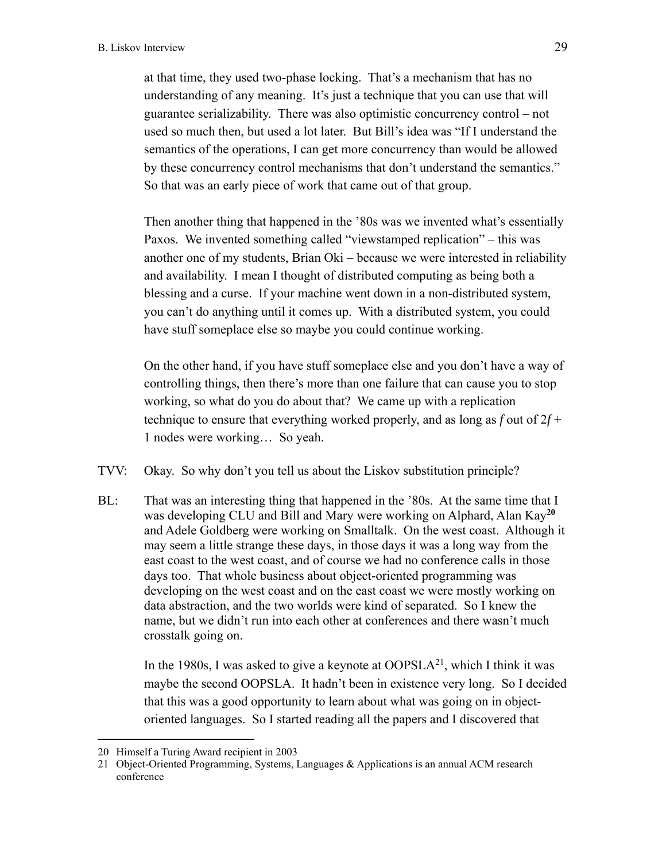at that time, they used two-phase locking. That's a mechanism that has no understanding of any meaning. It's just a technique that you can use that will guarantee serializability. There was also optimistic concurrency control – not used so much then, but used a lot later. But Bill's idea was "If I understand the semantics of the operations, I can get more concurrency than would be allowed by these concurrency control mechanisms that don't understand the semantics." So that was an early piece of work that came out of that group.

Then another thing that happened in the '80s was we invented what's essentially Paxos. We invented something called "viewstamped replication" – this was another one of my students, Brian Oki – because we were interested in reliability and availability. I mean I thought of distributed computing as being both a blessing and a curse. If your machine went down in a non-distributed system, you can't do anything until it comes up. With a distributed system, you could have stuff someplace else so maybe you could continue working.

On the other hand, if you have stuff someplace else and you don't have a way of controlling things, then there's more than one failure that can cause you to stop working, so what do you do about that? We came up with a replication technique to ensure that everything worked properly, and as long as *f* out of 2*f* + 1 nodes were working… So yeah.

- TVV: Okay. So why don't you tell us about the Liskov substitution principle?
- BL: That was an interesting thing that happened in the '80s. At the same time that I was developing CLU and Bill and Mary were working on Alphard, Alan Kay**<sup>20</sup>** and Adele Goldberg were working on Smalltalk. On the west coast. Although it may seem a little strange these days, in those days it was a long way from the east coast to the west coast, and of course we had no conference calls in those days too. That whole business about object-oriented programming was developing on the west coast and on the east coast we were mostly working on data abstraction, and the two worlds were kind of separated. So I knew the name, but we didn't run into each other at conferences and there wasn't much crosstalk going on.

In the 1980s, I was asked to give a keynote at  $OOPSLA<sup>21</sup>$ , which I think it was maybe the second OOPSLA. It hadn't been in existence very long. So I decided that this was a good opportunity to learn about what was going on in objectoriented languages. So I started reading all the papers and I discovered that

<sup>20</sup> Himself a Turing Award recipient in 2003

<sup>21</sup> Object-Oriented Programming, Systems, Languages & Applications is an annual ACM research conference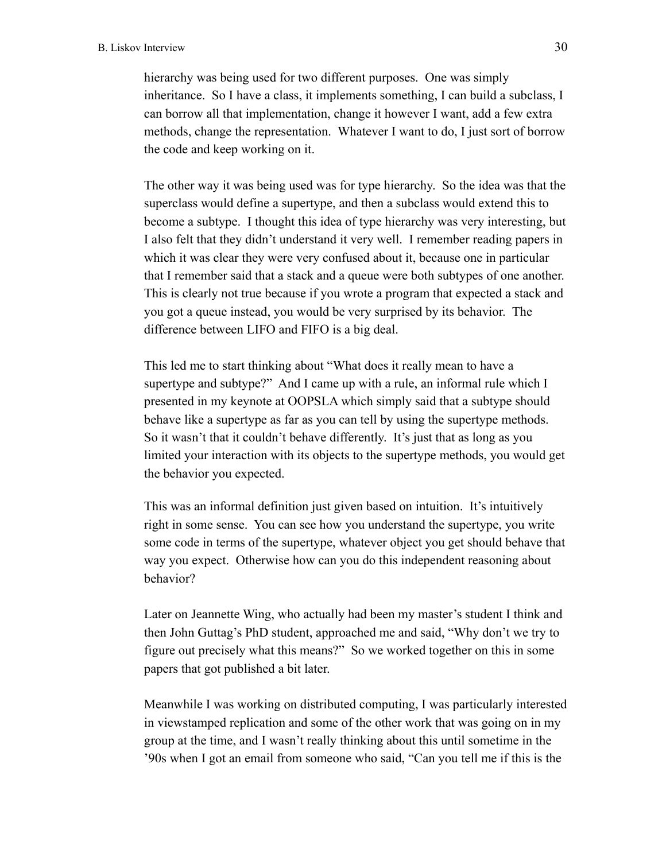hierarchy was being used for two different purposes. One was simply inheritance. So I have a class, it implements something, I can build a subclass, I can borrow all that implementation, change it however I want, add a few extra methods, change the representation. Whatever I want to do, I just sort of borrow the code and keep working on it.

The other way it was being used was for type hierarchy. So the idea was that the superclass would define a supertype, and then a subclass would extend this to become a subtype. I thought this idea of type hierarchy was very interesting, but I also felt that they didn't understand it very well. I remember reading papers in which it was clear they were very confused about it, because one in particular that I remember said that a stack and a queue were both subtypes of one another. This is clearly not true because if you wrote a program that expected a stack and you got a queue instead, you would be very surprised by its behavior. The difference between LIFO and FIFO is a big deal.

This led me to start thinking about "What does it really mean to have a supertype and subtype?" And I came up with a rule, an informal rule which I presented in my keynote at OOPSLA which simply said that a subtype should behave like a supertype as far as you can tell by using the supertype methods. So it wasn't that it couldn't behave differently. It's just that as long as you limited your interaction with its objects to the supertype methods, you would get the behavior you expected.

This was an informal definition just given based on intuition. It's intuitively right in some sense. You can see how you understand the supertype, you write some code in terms of the supertype, whatever object you get should behave that way you expect. Otherwise how can you do this independent reasoning about behavior?

Later on Jeannette Wing, who actually had been my master's student I think and then John Guttag's PhD student, approached me and said, "Why don't we try to figure out precisely what this means?" So we worked together on this in some papers that got published a bit later.

Meanwhile I was working on distributed computing, I was particularly interested in viewstamped replication and some of the other work that was going on in my group at the time, and I wasn't really thinking about this until sometime in the '90s when I got an email from someone who said, "Can you tell me if this is the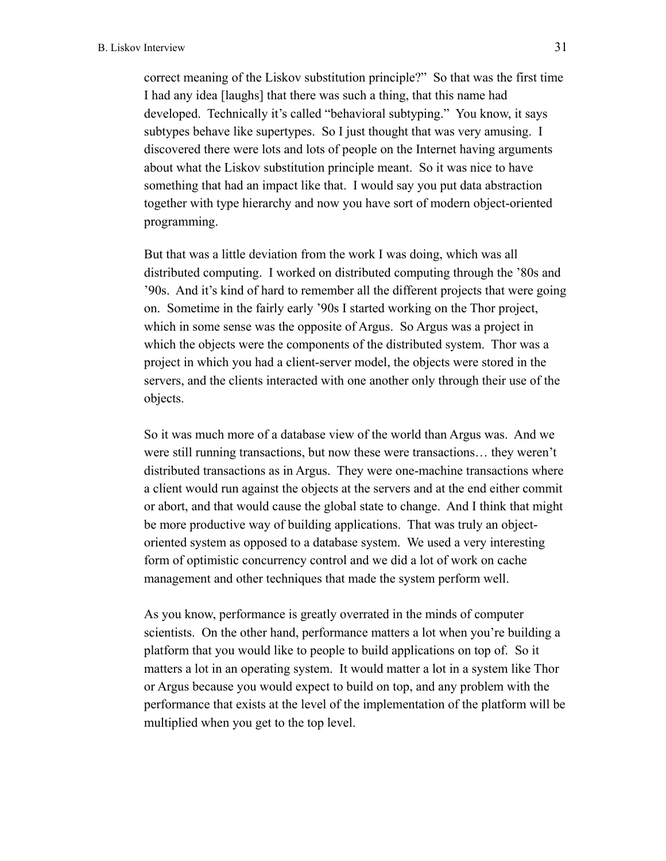correct meaning of the Liskov substitution principle?" So that was the first time I had any idea [laughs] that there was such a thing, that this name had developed. Technically it's called "behavioral subtyping." You know, it says subtypes behave like supertypes. So I just thought that was very amusing. I discovered there were lots and lots of people on the Internet having arguments about what the Liskov substitution principle meant. So it was nice to have something that had an impact like that. I would say you put data abstraction together with type hierarchy and now you have sort of modern object-oriented programming.

But that was a little deviation from the work I was doing, which was all distributed computing. I worked on distributed computing through the '80s and '90s. And it's kind of hard to remember all the different projects that were going on. Sometime in the fairly early '90s I started working on the Thor project, which in some sense was the opposite of Argus. So Argus was a project in which the objects were the components of the distributed system. Thor was a project in which you had a client-server model, the objects were stored in the servers, and the clients interacted with one another only through their use of the objects.

So it was much more of a database view of the world than Argus was. And we were still running transactions, but now these were transactions… they weren't distributed transactions as in Argus. They were one-machine transactions where a client would run against the objects at the servers and at the end either commit or abort, and that would cause the global state to change. And I think that might be more productive way of building applications. That was truly an objectoriented system as opposed to a database system. We used a very interesting form of optimistic concurrency control and we did a lot of work on cache management and other techniques that made the system perform well.

As you know, performance is greatly overrated in the minds of computer scientists. On the other hand, performance matters a lot when you're building a platform that you would like to people to build applications on top of. So it matters a lot in an operating system. It would matter a lot in a system like Thor or Argus because you would expect to build on top, and any problem with the performance that exists at the level of the implementation of the platform will be multiplied when you get to the top level.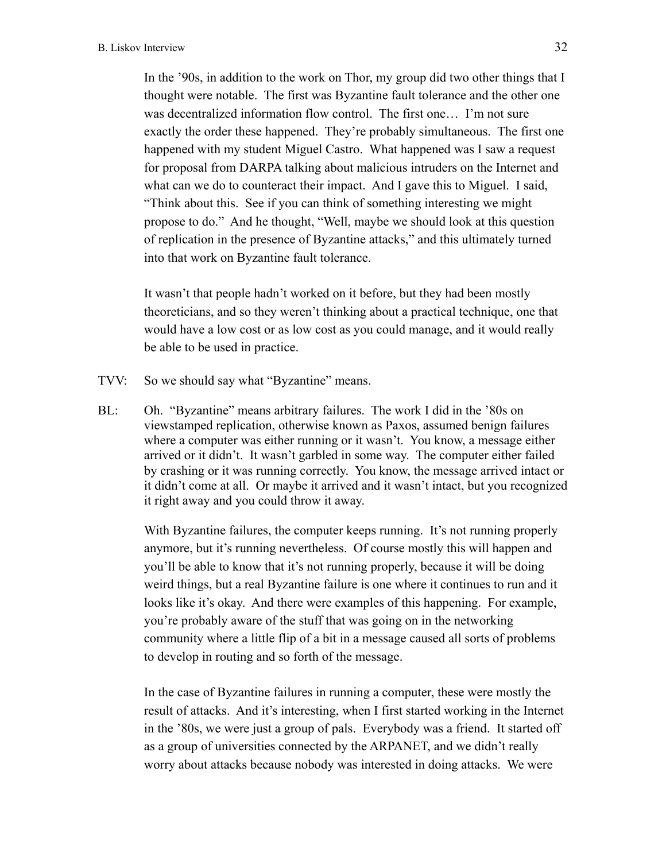In the '90s, in addition to the work on Thor, my group did two other things that I thought were notable. The first was Byzantine fault tolerance and the other one was decentralized information flow control. The first one… I'm not sure exactly the order these happened. They're probably simultaneous. The first one happened with my student Miguel Castro. What happened was I saw a request for proposal from DARPA talking about malicious intruders on the Internet and what can we do to counteract their impact. And I gave this to Miguel. I said, "Think about this. See if you can think of something interesting we might propose to do." And he thought, "Well, maybe we should look at this question of replication in the presence of Byzantine attacks," and this ultimately turned into that work on Byzantine fault tolerance.

It wasn't that people hadn't worked on it before, but they had been mostly theoreticians, and so they weren't thinking about a practical technique, one that would have a low cost or as low cost as you could manage, and it would really be able to be used in practice.

- TVV: So we should say what "Byzantine" means.
- BL: Oh. "Byzantine" means arbitrary failures. The work I did in the '80s on viewstamped replication, otherwise known as Paxos, assumed benign failures where a computer was either running or it wasn't. You know, a message either arrived or it didn't. It wasn't garbled in some way. The computer either failed by crashing or it was running correctly. You know, the message arrived intact or it didn't come at all. Or maybe it arrived and it wasn't intact, but you recognized it right away and you could throw it away.

With Byzantine failures, the computer keeps running. It's not running properly anymore, but it's running nevertheless. Of course mostly this will happen and you'll be able to know that it's not running properly, because it will be doing weird things, but a real Byzantine failure is one where it continues to run and it looks like it's okay. And there were examples of this happening. For example, you're probably aware of the stuff that was going on in the networking community where a little flip of a bit in a message caused all sorts of problems to develop in routing and so forth of the message.

In the case of Byzantine failures in running a computer, these were mostly the result of attacks. And it's interesting, when I first started working in the Internet in the '80s, we were just a group of pals. Everybody was a friend. It started off as a group of universities connected by the ARPANET, and we didn't really worry about attacks because nobody was interested in doing attacks. We were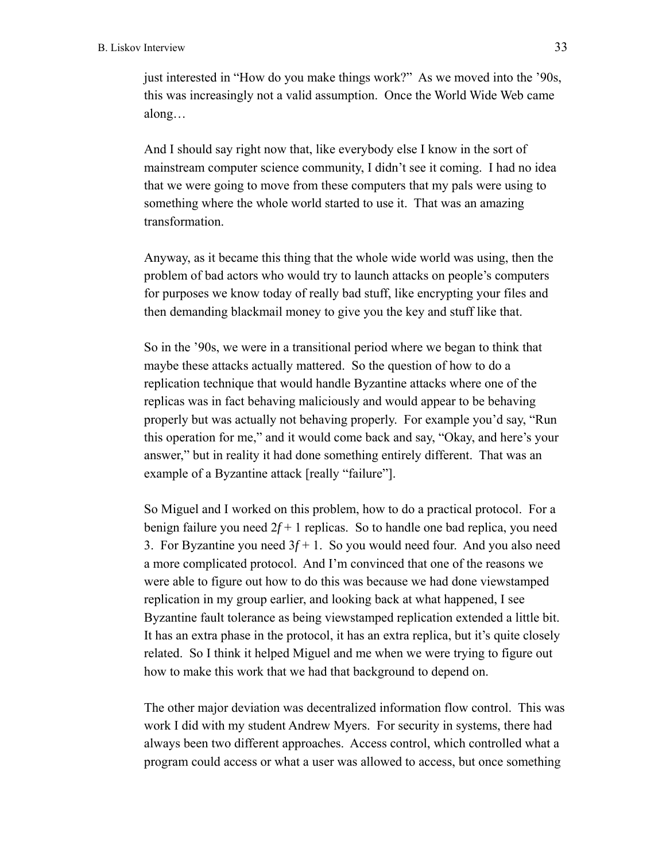just interested in "How do you make things work?" As we moved into the '90s, this was increasingly not a valid assumption. Once the World Wide Web came along…

And I should say right now that, like everybody else I know in the sort of mainstream computer science community, I didn't see it coming. I had no idea that we were going to move from these computers that my pals were using to something where the whole world started to use it. That was an amazing transformation.

Anyway, as it became this thing that the whole wide world was using, then the problem of bad actors who would try to launch attacks on people's computers for purposes we know today of really bad stuff, like encrypting your files and then demanding blackmail money to give you the key and stuff like that.

So in the '90s, we were in a transitional period where we began to think that maybe these attacks actually mattered. So the question of how to do a replication technique that would handle Byzantine attacks where one of the replicas was in fact behaving maliciously and would appear to be behaving properly but was actually not behaving properly. For example you'd say, "Run this operation for me," and it would come back and say, "Okay, and here's your answer," but in reality it had done something entirely different. That was an example of a Byzantine attack [really "failure"].

So Miguel and I worked on this problem, how to do a practical protocol. For a benign failure you need  $2f + 1$  replicas. So to handle one bad replica, you need 3. For Byzantine you need  $3f + 1$ . So you would need four. And you also need a more complicated protocol. And I'm convinced that one of the reasons we were able to figure out how to do this was because we had done viewstamped replication in my group earlier, and looking back at what happened, I see Byzantine fault tolerance as being viewstamped replication extended a little bit. It has an extra phase in the protocol, it has an extra replica, but it's quite closely related. So I think it helped Miguel and me when we were trying to figure out how to make this work that we had that background to depend on.

The other major deviation was decentralized information flow control. This was work I did with my student Andrew Myers. For security in systems, there had always been two different approaches. Access control, which controlled what a program could access or what a user was allowed to access, but once something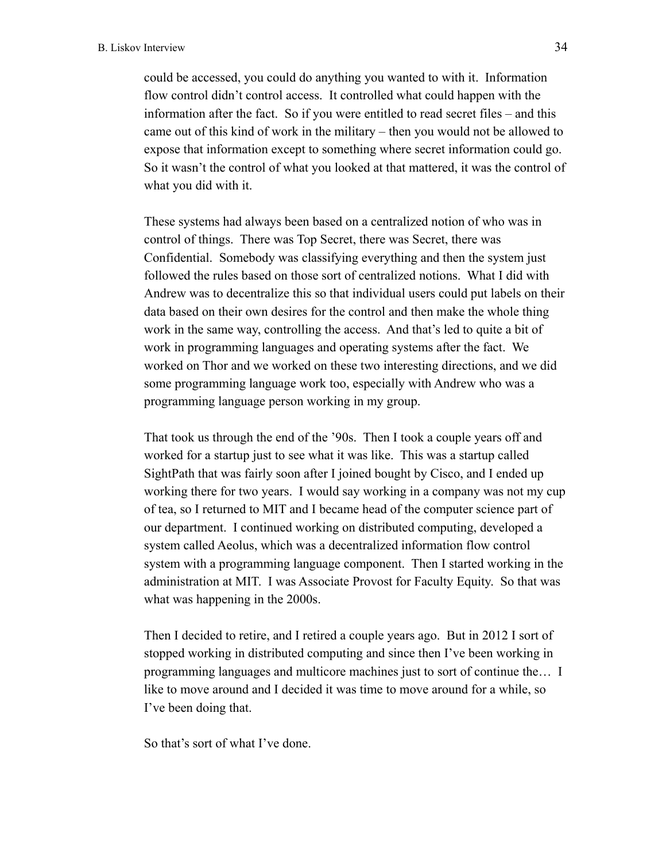could be accessed, you could do anything you wanted to with it. Information flow control didn't control access. It controlled what could happen with the information after the fact. So if you were entitled to read secret files – and this came out of this kind of work in the military – then you would not be allowed to expose that information except to something where secret information could go. So it wasn't the control of what you looked at that mattered, it was the control of what you did with it.

These systems had always been based on a centralized notion of who was in control of things. There was Top Secret, there was Secret, there was Confidential. Somebody was classifying everything and then the system just followed the rules based on those sort of centralized notions. What I did with Andrew was to decentralize this so that individual users could put labels on their data based on their own desires for the control and then make the whole thing work in the same way, controlling the access. And that's led to quite a bit of work in programming languages and operating systems after the fact. We worked on Thor and we worked on these two interesting directions, and we did some programming language work too, especially with Andrew who was a programming language person working in my group.

That took us through the end of the '90s. Then I took a couple years off and worked for a startup just to see what it was like. This was a startup called SightPath that was fairly soon after I joined bought by Cisco, and I ended up working there for two years. I would say working in a company was not my cup of tea, so I returned to MIT and I became head of the computer science part of our department. I continued working on distributed computing, developed a system called Aeolus, which was a decentralized information flow control system with a programming language component. Then I started working in the administration at MIT. I was Associate Provost for Faculty Equity. So that was what was happening in the 2000s.

Then I decided to retire, and I retired a couple years ago. But in 2012 I sort of stopped working in distributed computing and since then I've been working in programming languages and multicore machines just to sort of continue the… I like to move around and I decided it was time to move around for a while, so I've been doing that.

So that's sort of what I've done.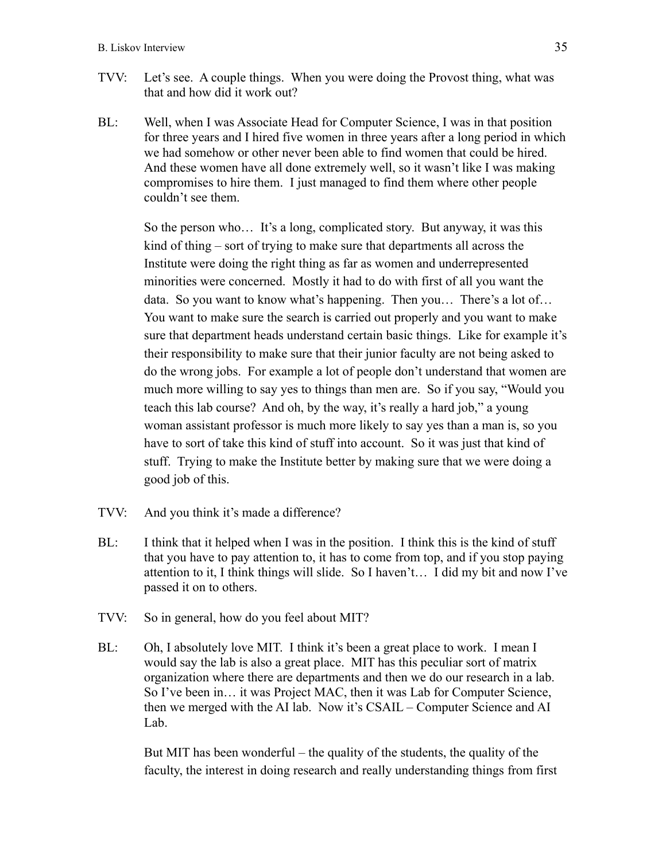- TVV: Let's see. A couple things. When you were doing the Provost thing, what was that and how did it work out?
- BL: Well, when I was Associate Head for Computer Science, I was in that position for three years and I hired five women in three years after a long period in which we had somehow or other never been able to find women that could be hired. And these women have all done extremely well, so it wasn't like I was making compromises to hire them. I just managed to find them where other people couldn't see them.

So the person who… It's a long, complicated story. But anyway, it was this kind of thing – sort of trying to make sure that departments all across the Institute were doing the right thing as far as women and underrepresented minorities were concerned. Mostly it had to do with first of all you want the data. So you want to know what's happening. Then you… There's a lot of… You want to make sure the search is carried out properly and you want to make sure that department heads understand certain basic things. Like for example it's their responsibility to make sure that their junior faculty are not being asked to do the wrong jobs. For example a lot of people don't understand that women are much more willing to say yes to things than men are. So if you say, "Would you teach this lab course? And oh, by the way, it's really a hard job," a young woman assistant professor is much more likely to say yes than a man is, so you have to sort of take this kind of stuff into account. So it was just that kind of stuff. Trying to make the Institute better by making sure that we were doing a good job of this.

- TVV: And you think it's made a difference?
- BL: I think that it helped when I was in the position. I think this is the kind of stuff that you have to pay attention to, it has to come from top, and if you stop paying attention to it, I think things will slide. So I haven't… I did my bit and now I've passed it on to others.
- TVV: So in general, how do you feel about MIT?
- BL: Oh, I absolutely love MIT. I think it's been a great place to work. I mean I would say the lab is also a great place. MIT has this peculiar sort of matrix organization where there are departments and then we do our research in a lab. So I've been in… it was Project MAC, then it was Lab for Computer Science, then we merged with the AI lab. Now it's CSAIL – Computer Science and AI Lab.

But MIT has been wonderful – the quality of the students, the quality of the faculty, the interest in doing research and really understanding things from first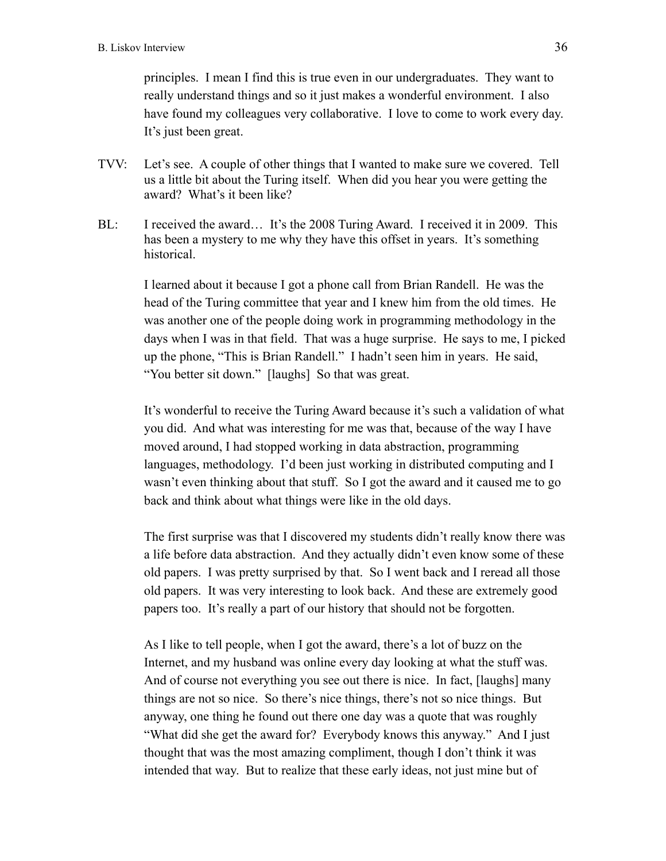principles. I mean I find this is true even in our undergraduates. They want to really understand things and so it just makes a wonderful environment. I also have found my colleagues very collaborative. I love to come to work every day. It's just been great.

- TVV: Let's see. A couple of other things that I wanted to make sure we covered. Tell us a little bit about the Turing itself. When did you hear you were getting the award? What's it been like?
- BL: I received the award… It's the 2008 Turing Award. I received it in 2009. This has been a mystery to me why they have this offset in years. It's something historical.

I learned about it because I got a phone call from Brian Randell. He was the head of the Turing committee that year and I knew him from the old times. He was another one of the people doing work in programming methodology in the days when I was in that field. That was a huge surprise. He says to me, I picked up the phone, "This is Brian Randell." I hadn't seen him in years. He said, "You better sit down." [laughs] So that was great.

It's wonderful to receive the Turing Award because it's such a validation of what you did. And what was interesting for me was that, because of the way I have moved around, I had stopped working in data abstraction, programming languages, methodology. I'd been just working in distributed computing and I wasn't even thinking about that stuff. So I got the award and it caused me to go back and think about what things were like in the old days.

The first surprise was that I discovered my students didn't really know there was a life before data abstraction. And they actually didn't even know some of these old papers. I was pretty surprised by that. So I went back and I reread all those old papers. It was very interesting to look back. And these are extremely good papers too. It's really a part of our history that should not be forgotten.

As I like to tell people, when I got the award, there's a lot of buzz on the Internet, and my husband was online every day looking at what the stuff was. And of course not everything you see out there is nice. In fact, [laughs] many things are not so nice. So there's nice things, there's not so nice things. But anyway, one thing he found out there one day was a quote that was roughly "What did she get the award for? Everybody knows this anyway." And I just thought that was the most amazing compliment, though I don't think it was intended that way. But to realize that these early ideas, not just mine but of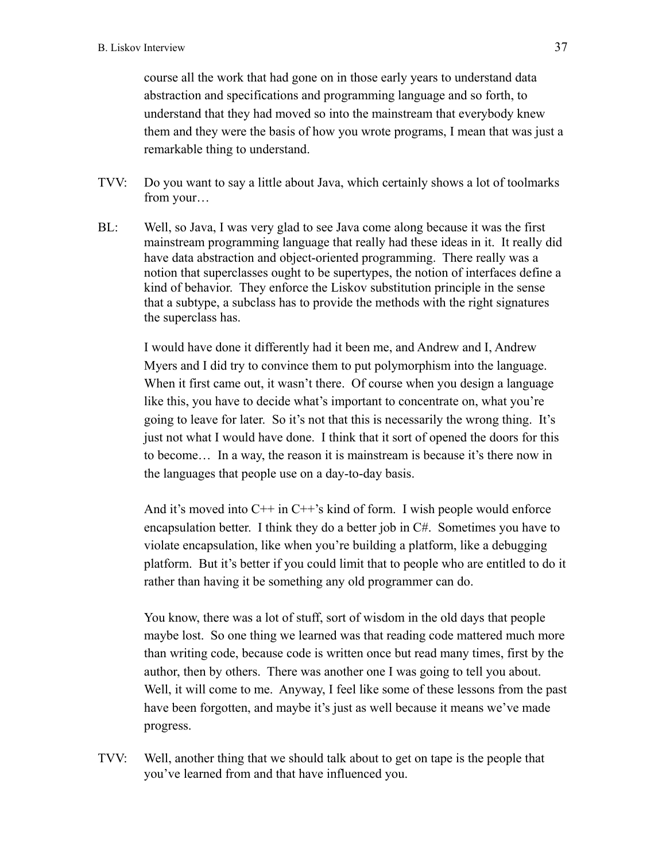course all the work that had gone on in those early years to understand data abstraction and specifications and programming language and so forth, to understand that they had moved so into the mainstream that everybody knew them and they were the basis of how you wrote programs, I mean that was just a remarkable thing to understand.

- TVV: Do you want to say a little about Java, which certainly shows a lot of toolmarks from your…
- BL: Well, so Java, I was very glad to see Java come along because it was the first mainstream programming language that really had these ideas in it. It really did have data abstraction and object-oriented programming. There really was a notion that superclasses ought to be supertypes, the notion of interfaces define a kind of behavior. They enforce the Liskov substitution principle in the sense that a subtype, a subclass has to provide the methods with the right signatures the superclass has.

I would have done it differently had it been me, and Andrew and I, Andrew Myers and I did try to convince them to put polymorphism into the language. When it first came out, it wasn't there. Of course when you design a language like this, you have to decide what's important to concentrate on, what you're going to leave for later. So it's not that this is necessarily the wrong thing. It's just not what I would have done. I think that it sort of opened the doors for this to become… In a way, the reason it is mainstream is because it's there now in the languages that people use on a day-to-day basis.

And it's moved into  $C^{++}$  in  $C^{++}$ 's kind of form. I wish people would enforce encapsulation better. I think they do a better job in C#. Sometimes you have to violate encapsulation, like when you're building a platform, like a debugging platform. But it's better if you could limit that to people who are entitled to do it rather than having it be something any old programmer can do.

You know, there was a lot of stuff, sort of wisdom in the old days that people maybe lost. So one thing we learned was that reading code mattered much more than writing code, because code is written once but read many times, first by the author, then by others. There was another one I was going to tell you about. Well, it will come to me. Anyway, I feel like some of these lessons from the past have been forgotten, and maybe it's just as well because it means we've made progress.

TVV: Well, another thing that we should talk about to get on tape is the people that you've learned from and that have influenced you.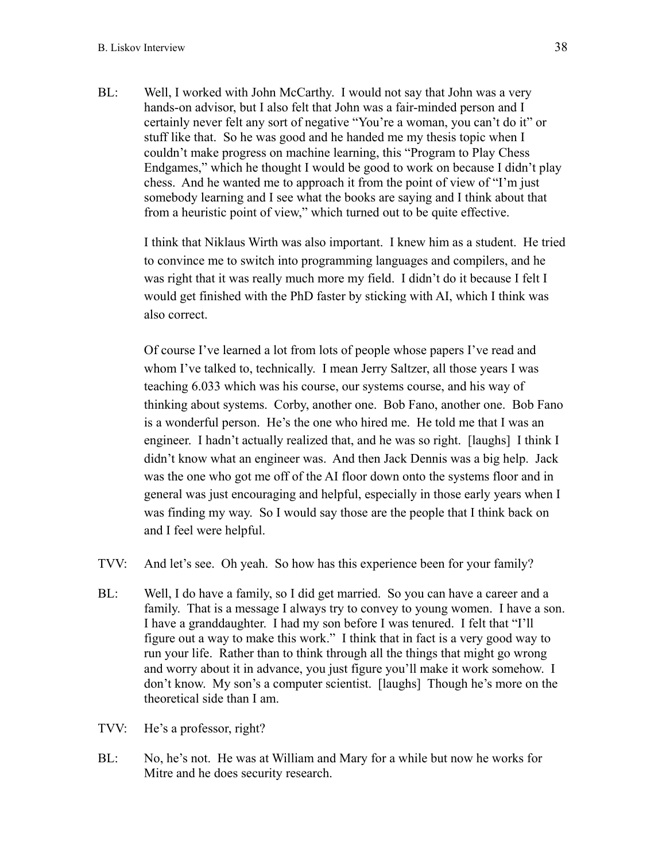BL: Well, I worked with John McCarthy. I would not say that John was a very hands-on advisor, but I also felt that John was a fair-minded person and I certainly never felt any sort of negative "You're a woman, you can't do it" or stuff like that. So he was good and he handed me my thesis topic when I couldn't make progress on machine learning, this "Program to Play Chess Endgames," which he thought I would be good to work on because I didn't play chess. And he wanted me to approach it from the point of view of "I'm just somebody learning and I see what the books are saying and I think about that from a heuristic point of view," which turned out to be quite effective.

I think that Niklaus Wirth was also important. I knew him as a student. He tried to convince me to switch into programming languages and compilers, and he was right that it was really much more my field. I didn't do it because I felt I would get finished with the PhD faster by sticking with AI, which I think was also correct.

Of course I've learned a lot from lots of people whose papers I've read and whom I've talked to, technically. I mean Jerry Saltzer, all those years I was teaching 6.033 which was his course, our systems course, and his way of thinking about systems. Corby, another one. Bob Fano, another one. Bob Fano is a wonderful person. He's the one who hired me. He told me that I was an engineer. I hadn't actually realized that, and he was so right. [laughs] I think I didn't know what an engineer was. And then Jack Dennis was a big help. Jack was the one who got me off of the AI floor down onto the systems floor and in general was just encouraging and helpful, especially in those early years when I was finding my way. So I would say those are the people that I think back on and I feel were helpful.

- TVV: And let's see. Oh yeah. So how has this experience been for your family?
- BL: Well, I do have a family, so I did get married. So you can have a career and a family. That is a message I always try to convey to young women. I have a son. I have a granddaughter. I had my son before I was tenured. I felt that "I'll figure out a way to make this work." I think that in fact is a very good way to run your life. Rather than to think through all the things that might go wrong and worry about it in advance, you just figure you'll make it work somehow. I don't know. My son's a computer scientist. [laughs] Though he's more on the theoretical side than I am.
- TVV: He's a professor, right?
- BL: No, he's not. He was at William and Mary for a while but now he works for Mitre and he does security research.